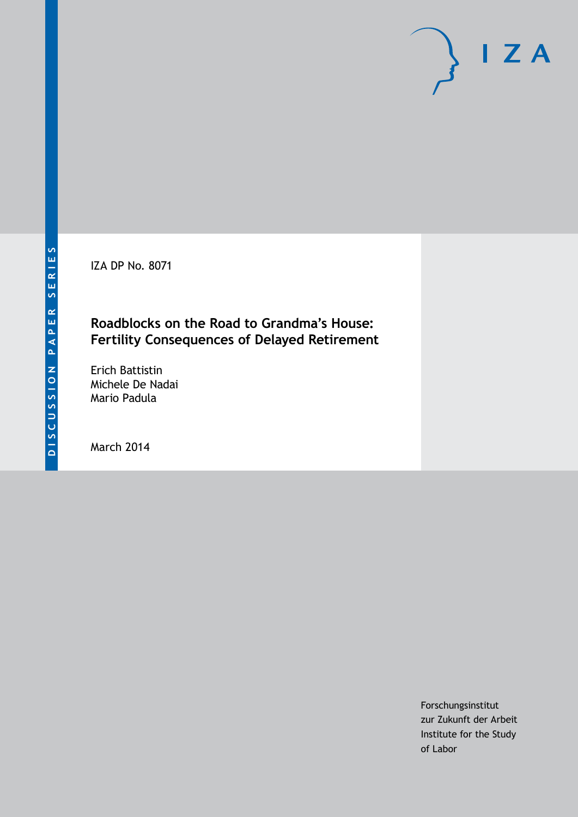IZA DP No. 8071

## **Roadblocks on the Road to Grandma's House: Fertility Consequences of Delayed Retirement**

Erich Battistin Michele De Nadai Mario Padula

March 2014

Forschungsinstitut zur Zukunft der Arbeit Institute for the Study of Labor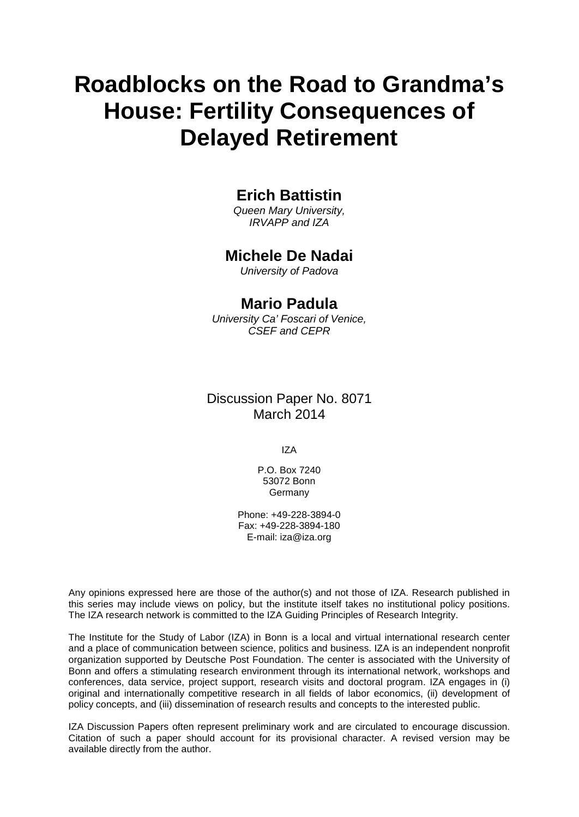# **Roadblocks on the Road to Grandma's House: Fertility Consequences of Delayed Retirement**

## **Erich Battistin**

*Queen Mary University, IRVAPP and IZA*

### **Michele De Nadai**

*University of Padova*

#### **Mario Padula**

*University Ca' Foscari of Venice, CSEF and CEPR*

### Discussion Paper No. 8071 March 2014

IZA

P.O. Box 7240 53072 Bonn Germany

Phone: +49-228-3894-0 Fax: +49-228-3894-180 E-mail: [iza@iza.org](mailto:iza@iza.org)

Any opinions expressed here are those of the author(s) and not those of IZA. Research published in this series may include views on policy, but the institute itself takes no institutional policy positions. The IZA research network is committed to the IZA Guiding Principles of Research Integrity.

The Institute for the Study of Labor (IZA) in Bonn is a local and virtual international research center and a place of communication between science, politics and business. IZA is an independent nonprofit organization supported by Deutsche Post Foundation. The center is associated with the University of Bonn and offers a stimulating research environment through its international network, workshops and conferences, data service, project support, research visits and doctoral program. IZA engages in (i) original and internationally competitive research in all fields of labor economics, (ii) development of policy concepts, and (iii) dissemination of research results and concepts to the interested public.

<span id="page-1-0"></span>IZA Discussion Papers often represent preliminary work and are circulated to encourage discussion. Citation of such a paper should account for its provisional character. A revised version may be available directly from the author.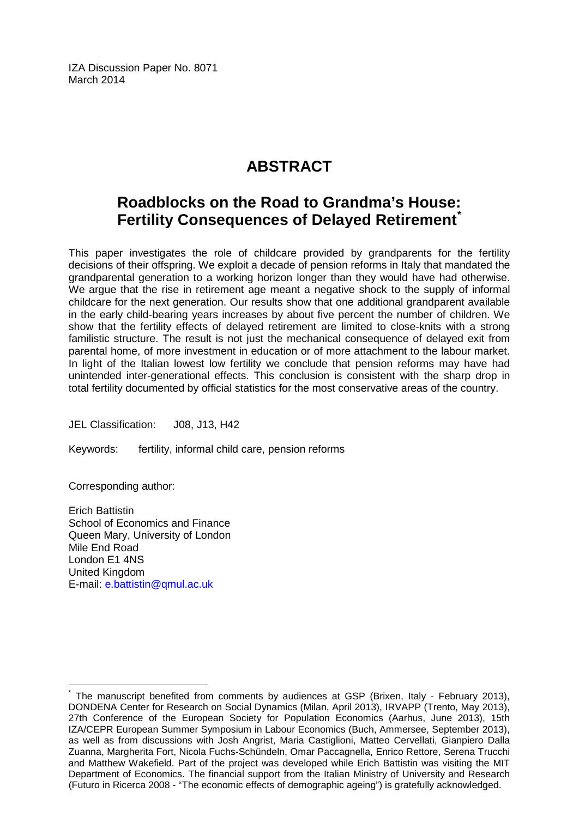IZA Discussion Paper No. 8071 March 2014

## **ABSTRACT**

## **Roadblocks on the Road to Grandma's House: Fertility Consequences of Delayed Retirement[\\*](#page-1-0)**

This paper investigates the role of childcare provided by grandparents for the fertility decisions of their offspring. We exploit a decade of pension reforms in Italy that mandated the grandparental generation to a working horizon longer than they would have had otherwise. We argue that the rise in retirement age meant a negative shock to the supply of informal childcare for the next generation. Our results show that one additional grandparent available in the early child-bearing years increases by about five percent the number of children. We show that the fertility effects of delayed retirement are limited to close-knits with a strong familistic structure. The result is not just the mechanical consequence of delayed exit from parental home, of more investment in education or of more attachment to the labour market. In light of the Italian lowest low fertility we conclude that pension reforms may have had unintended inter-generational effects. This conclusion is consistent with the sharp drop in total fertility documented by official statistics for the most conservative areas of the country.

JEL Classification: J08, J13, H42

Keywords: fertility, informal child care, pension reforms

Corresponding author:

Erich Battistin School of Economics and Finance Queen Mary, University of London Mile End Road London E1 4NS United Kingdom E-mail: [e.battistin@qmul.ac.uk](mailto:e.battistin@qmul.ac.uk)

The manuscript benefited from comments by audiences at GSP (Brixen, Italy - February 2013), DONDENA Center for Research on Social Dynamics (Milan, April 2013), IRVAPP (Trento, May 2013), 27th Conference of the European Society for Population Economics (Aarhus, June 2013), 15th IZA/CEPR European Summer Symposium in Labour Economics (Buch, Ammersee, September 2013), as well as from discussions with Josh Angrist, Maria Castiglioni, Matteo Cervellati, Gianpiero Dalla Zuanna, Margherita Fort, Nicola Fuchs-Schündeln, Omar Paccagnella, Enrico Rettore, Serena Trucchi and Matthew Wakefield. Part of the project was developed while Erich Battistin was visiting the MIT Department of Economics. The financial support from the Italian Ministry of University and Research (Futuro in Ricerca 2008 - "The economic effects of demographic ageing") is gratefully acknowledged.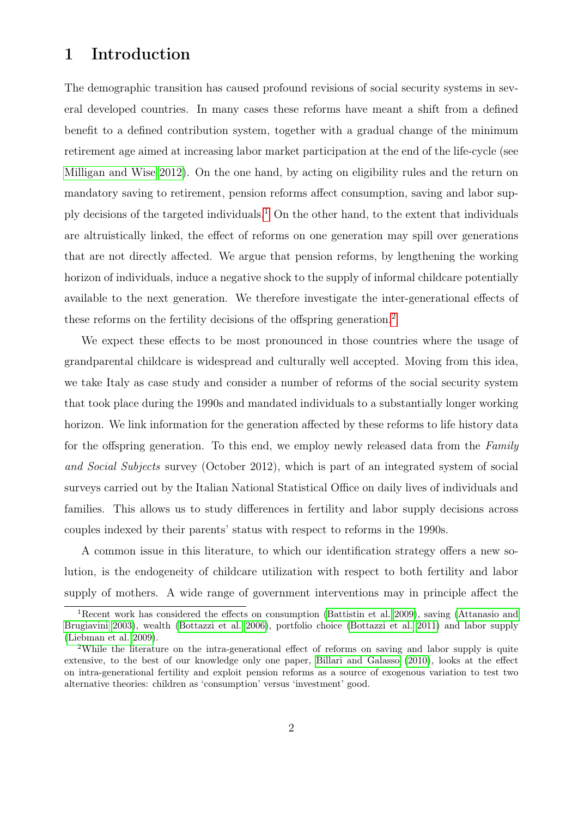## 1 Introduction

The demographic transition has caused profound revisions of social security systems in several developed countries. In many cases these reforms have meant a shift from a defined benefit to a defined contribution system, together with a gradual change of the minimum retirement age aimed at increasing labor market participation at the end of the life-cycle (see [Milligan and Wise 2012\)](#page-29-0). On the one hand, by acting on eligibility rules and the return on mandatory saving to retirement, pension reforms affect consumption, saving and labor sup-ply decisions of the targeted individuals.<sup>[1](#page-3-0)</sup> On the other hand, to the extent that individuals are altruistically linked, the effect of reforms on one generation may spill over generations that are not directly affected. We argue that pension reforms, by lengthening the working horizon of individuals, induce a negative shock to the supply of informal childcare potentially available to the next generation. We therefore investigate the inter-generational effects of these reforms on the fertility decisions of the offspring generation.<sup>[2](#page-3-1)</sup>

We expect these effects to be most pronounced in those countries where the usage of grandparental childcare is widespread and culturally well accepted. Moving from this idea, we take Italy as case study and consider a number of reforms of the social security system that took place during the 1990s and mandated individuals to a substantially longer working horizon. We link information for the generation affected by these reforms to life history data for the offspring generation. To this end, we employ newly released data from the Family and Social Subjects survey (October 2012), which is part of an integrated system of social surveys carried out by the Italian National Statistical Office on daily lives of individuals and families. This allows us to study differences in fertility and labor supply decisions across couples indexed by their parents' status with respect to reforms in the 1990s.

A common issue in this literature, to which our identification strategy offers a new solution, is the endogeneity of childcare utilization with respect to both fertility and labor supply of mothers. A wide range of government interventions may in principle affect the

<span id="page-3-0"></span><sup>1</sup>Recent work has considered the effects on consumption [\(Battistin et al. 2009\)](#page-26-0), saving [\(Attanasio and](#page-26-1) [Brugiavini 2003\)](#page-26-1), wealth [\(Bottazzi et al. 2006\)](#page-27-0), portfolio choice [\(Bottazzi et al. 2011\)](#page-27-1) and labor supply [\(Liebman et al. 2009\)](#page-28-0).

<span id="page-3-1"></span><sup>2</sup>While the literature on the intra-generational effect of reforms on saving and labor supply is quite extensive, to the best of our knowledge only one paper, [Billari and Galasso](#page-27-2) [\(2010\)](#page-27-2), looks at the effect on intra-generational fertility and exploit pension reforms as a source of exogenous variation to test two alternative theories: children as 'consumption' versus 'investment' good.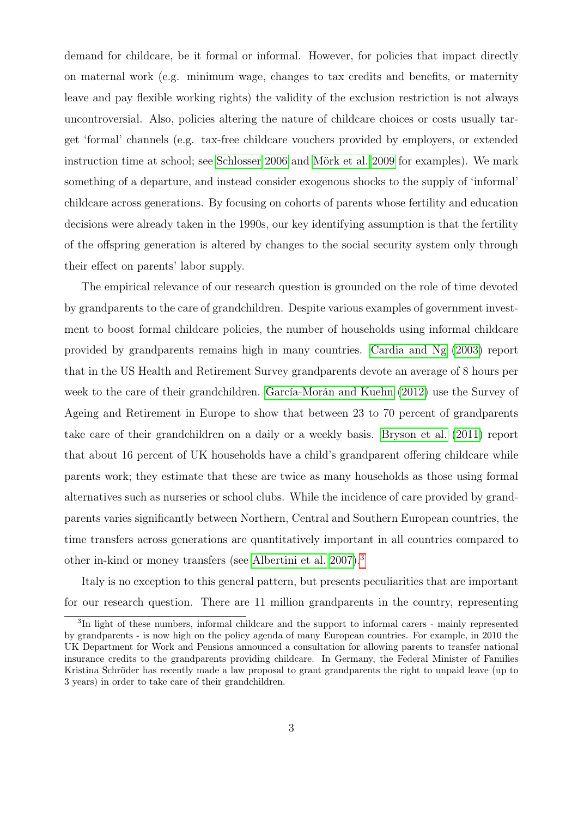demand for childcare, be it formal or informal. However, for policies that impact directly on maternal work (e.g. minimum wage, changes to tax credits and benefits, or maternity leave and pay flexible working rights) the validity of the exclusion restriction is not always uncontroversial. Also, policies altering the nature of childcare choices or costs usually target 'formal' channels (e.g. tax-free childcare vouchers provided by employers, or extended instruction time at school; see [Schlosser 2006](#page-29-1) and [Mörk et al. 2009](#page-29-2) for examples). We mark something of a departure, and instead consider exogenous shocks to the supply of 'informal' childcare across generations. By focusing on cohorts of parents whose fertility and education decisions were already taken in the 1990s, our key identifying assumption is that the fertility of the offspring generation is altered by changes to the social security system only through their effect on parents' labor supply.

The empirical relevance of our research question is grounded on the role of time devoted by grandparents to the care of grandchildren. Despite various examples of government investment to boost formal childcare policies, the number of households using informal childcare provided by grandparents remains high in many countries. [Cardia and Ng](#page-27-3) [\(2003\)](#page-27-3) report that in the US Health and Retirement Survey grandparents devote an average of 8 hours per week to the care of their grandchildren. [García-Morán and Kuehn](#page-28-1) [\(2012\)](#page-28-1) use the Survey of Ageing and Retirement in Europe to show that between 23 to 70 percent of grandparents take care of their grandchildren on a daily or a weekly basis. [Bryson et al.](#page-27-4) [\(2011\)](#page-27-4) report that about 16 percent of UK households have a child's grandparent offering childcare while parents work; they estimate that these are twice as many households as those using formal alternatives such as nurseries or school clubs. While the incidence of care provided by grandparents varies significantly between Northern, Central and Southern European countries, the time transfers across generations are quantitatively important in all countries compared to other in-kind or money transfers (see [Albertini et al. 2007\)](#page-26-2).[3](#page-4-0)

Italy is no exception to this general pattern, but presents peculiarities that are important for our research question. There are 11 million grandparents in the country, representing

<span id="page-4-0"></span><sup>&</sup>lt;sup>3</sup>In light of these numbers, informal childcare and the support to informal carers - mainly represented by grandparents - is now high on the policy agenda of many European countries. For example, in 2010 the UK Department for Work and Pensions announced a consultation for allowing parents to transfer national insurance credits to the grandparents providing childcare. In Germany, the Federal Minister of Families Kristina Schröder has recently made a law proposal to grant grandparents the right to unpaid leave (up to 3 years) in order to take care of their grandchildren.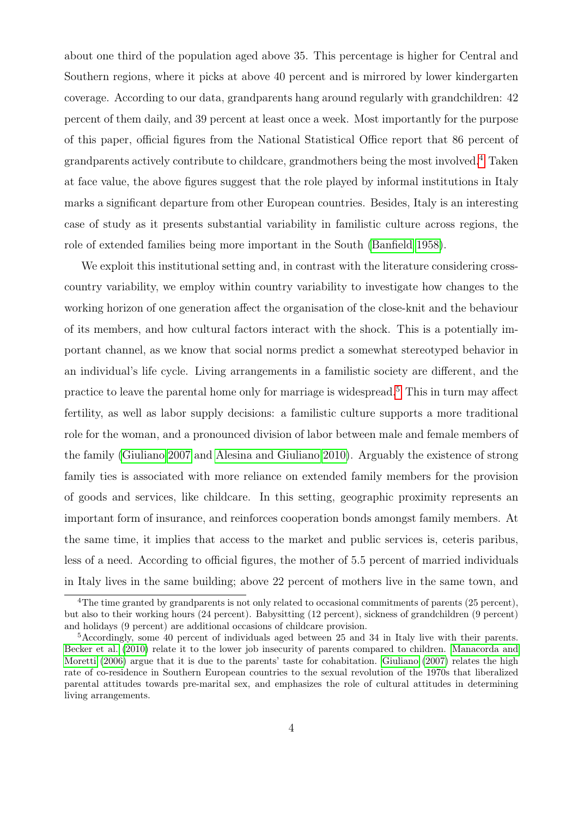about one third of the population aged above 35. This percentage is higher for Central and Southern regions, where it picks at above 40 percent and is mirrored by lower kindergarten coverage. According to our data, grandparents hang around regularly with grandchildren: 42 percent of them daily, and 39 percent at least once a week. Most importantly for the purpose of this paper, official figures from the National Statistical Office report that 86 percent of grandparents actively contribute to childcare, grandmothers being the most involved.[4](#page-5-0) Taken at face value, the above figures suggest that the role played by informal institutions in Italy marks a significant departure from other European countries. Besides, Italy is an interesting case of study as it presents substantial variability in familistic culture across regions, the role of extended families being more important in the South [\(Banfield 1958\)](#page-26-3).

We exploit this institutional setting and, in contrast with the literature considering crosscountry variability, we employ within country variability to investigate how changes to the working horizon of one generation affect the organisation of the close-knit and the behaviour of its members, and how cultural factors interact with the shock. This is a potentially important channel, as we know that social norms predict a somewhat stereotyped behavior in an individual's life cycle. Living arrangements in a familistic society are different, and the practice to leave the parental home only for marriage is widespread.[5](#page-5-1) This in turn may affect fertility, as well as labor supply decisions: a familistic culture supports a more traditional role for the woman, and a pronounced division of labor between male and female members of the family [\(Giuliano 2007](#page-28-2) and [Alesina and Giuliano 2010\)](#page-26-4). Arguably the existence of strong family ties is associated with more reliance on extended family members for the provision of goods and services, like childcare. In this setting, geographic proximity represents an important form of insurance, and reinforces cooperation bonds amongst family members. At the same time, it implies that access to the market and public services is, ceteris paribus, less of a need. According to official figures, the mother of 5.5 percent of married individuals in Italy lives in the same building; above 22 percent of mothers live in the same town, and

<span id="page-5-0"></span><sup>&</sup>lt;sup>4</sup>The time granted by grandparents is not only related to occasional commitments of parents (25 percent), but also to their working hours (24 percent). Babysitting (12 percent), sickness of grandchildren (9 percent) and holidays (9 percent) are additional occasions of childcare provision.

<span id="page-5-1"></span><sup>5</sup>Accordingly, some 40 percent of individuals aged between 25 and 34 in Italy live with their parents. [Becker et al.](#page-26-5) [\(2010\)](#page-26-5) relate it to the lower job insecurity of parents compared to children. [Manacorda and](#page-29-3) [Moretti](#page-29-3) [\(2006\)](#page-29-3) argue that it is due to the parents' taste for cohabitation. [Giuliano](#page-28-2) [\(2007\)](#page-28-2) relates the high rate of co-residence in Southern European countries to the sexual revolution of the 1970s that liberalized parental attitudes towards pre-marital sex, and emphasizes the role of cultural attitudes in determining living arrangements.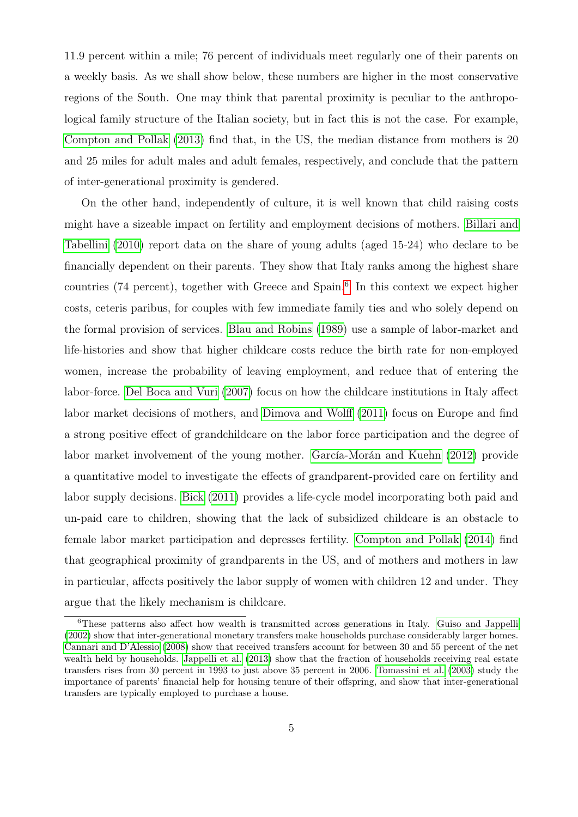11.9 percent within a mile; 76 percent of individuals meet regularly one of their parents on a weekly basis. As we shall show below, these numbers are higher in the most conservative regions of the South. One may think that parental proximity is peculiar to the anthropological family structure of the Italian society, but in fact this is not the case. For example, [Compton and Pollak](#page-27-5) [\(2013\)](#page-27-5) find that, in the US, the median distance from mothers is 20 and 25 miles for adult males and adult females, respectively, and conclude that the pattern of inter-generational proximity is gendered.

On the other hand, independently of culture, it is well known that child raising costs might have a sizeable impact on fertility and employment decisions of mothers. [Billari and](#page-27-6) [Tabellini](#page-27-6) [\(2010\)](#page-27-6) report data on the share of young adults (aged 15-24) who declare to be financially dependent on their parents. They show that Italy ranks among the highest share countries (74 percent), together with Greece and Spain.<sup>[6](#page-6-0)</sup> In this context we expect higher costs, ceteris paribus, for couples with few immediate family ties and who solely depend on the formal provision of services. [Blau and Robins](#page-27-7) [\(1989\)](#page-27-7) use a sample of labor-market and life-histories and show that higher childcare costs reduce the birth rate for non-employed women, increase the probability of leaving employment, and reduce that of entering the labor-force. [Del Boca and Vuri](#page-28-3) [\(2007\)](#page-28-3) focus on how the childcare institutions in Italy affect labor market decisions of mothers, and [Dimova and Wolff](#page-28-4) [\(2011\)](#page-28-4) focus on Europe and find a strong positive effect of grandchildcare on the labor force participation and the degree of labor market involvement of the young mother. [García-Morán and Kuehn](#page-28-1) [\(2012\)](#page-28-1) provide a quantitative model to investigate the effects of grandparent-provided care on fertility and labor supply decisions. [Bick](#page-26-6) [\(2011\)](#page-26-6) provides a life-cycle model incorporating both paid and un-paid care to children, showing that the lack of subsidized childcare is an obstacle to female labor market participation and depresses fertility. [Compton and Pollak](#page-28-5) [\(2014\)](#page-28-5) find that geographical proximity of grandparents in the US, and of mothers and mothers in law in particular, affects positively the labor supply of women with children 12 and under. They argue that the likely mechanism is childcare.

<span id="page-6-0"></span><sup>&</sup>lt;sup>6</sup>These patterns also affect how wealth is transmitted across generations in Italy. [Guiso and Jappelli](#page-28-6) [\(2002\)](#page-28-6) show that inter-generational monetary transfers make households purchase considerably larger homes. [Cannari and D'Alessio](#page-27-8) [\(2008\)](#page-27-8) show that received transfers account for between 30 and 55 percent of the net wealth held by households. [Jappelli et al.](#page-28-7) [\(2013\)](#page-28-7) show that the fraction of households receiving real estate transfers rises from 30 percent in 1993 to just above 35 percent in 2006. [Tomassini et al.](#page-29-4) [\(2003\)](#page-29-4) study the importance of parents' financial help for housing tenure of their offspring, and show that inter-generational transfers are typically employed to purchase a house.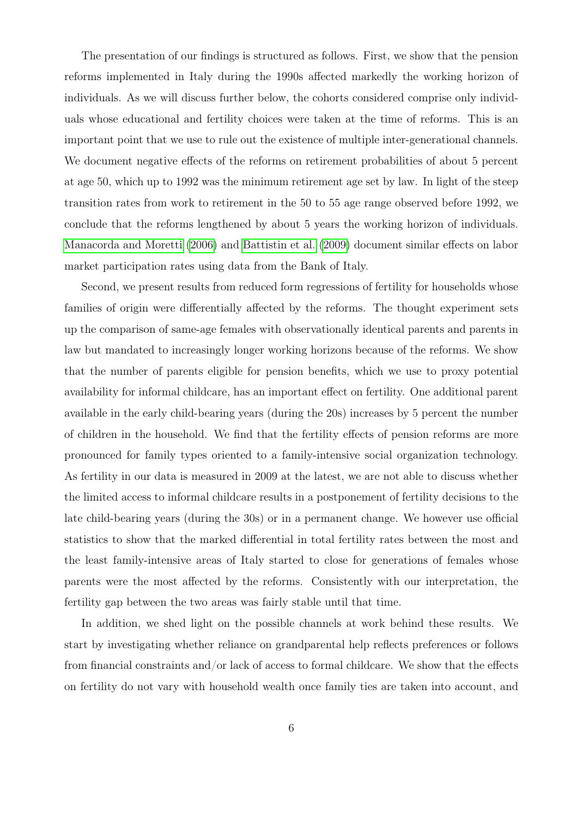The presentation of our findings is structured as follows. First, we show that the pension reforms implemented in Italy during the 1990s affected markedly the working horizon of individuals. As we will discuss further below, the cohorts considered comprise only individuals whose educational and fertility choices were taken at the time of reforms. This is an important point that we use to rule out the existence of multiple inter-generational channels. We document negative effects of the reforms on retirement probabilities of about 5 percent at age 50, which up to 1992 was the minimum retirement age set by law. In light of the steep transition rates from work to retirement in the 50 to 55 age range observed before 1992, we conclude that the reforms lengthened by about 5 years the working horizon of individuals. [Manacorda and Moretti](#page-29-3) [\(2006\)](#page-29-3) and [Battistin et al.](#page-26-0) [\(2009\)](#page-26-0) document similar effects on labor market participation rates using data from the Bank of Italy.

Second, we present results from reduced form regressions of fertility for households whose families of origin were differentially affected by the reforms. The thought experiment sets up the comparison of same-age females with observationally identical parents and parents in law but mandated to increasingly longer working horizons because of the reforms. We show that the number of parents eligible for pension benefits, which we use to proxy potential availability for informal childcare, has an important effect on fertility. One additional parent available in the early child-bearing years (during the 20s) increases by 5 percent the number of children in the household. We find that the fertility effects of pension reforms are more pronounced for family types oriented to a family-intensive social organization technology. As fertility in our data is measured in 2009 at the latest, we are not able to discuss whether the limited access to informal childcare results in a postponement of fertility decisions to the late child-bearing years (during the 30s) or in a permanent change. We however use official statistics to show that the marked differential in total fertility rates between the most and the least family-intensive areas of Italy started to close for generations of females whose parents were the most affected by the reforms. Consistently with our interpretation, the fertility gap between the two areas was fairly stable until that time.

In addition, we shed light on the possible channels at work behind these results. We start by investigating whether reliance on grandparental help reflects preferences or follows from financial constraints and/or lack of access to formal childcare. We show that the effects on fertility do not vary with household wealth once family ties are taken into account, and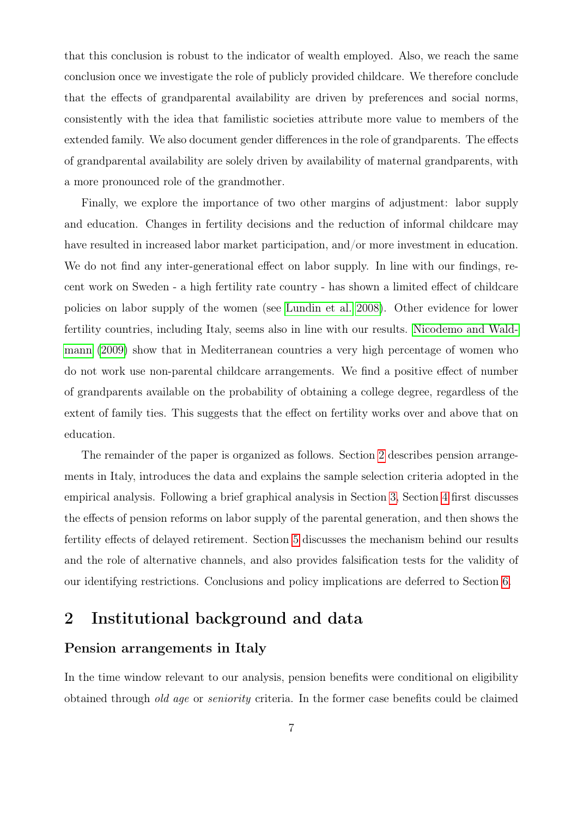that this conclusion is robust to the indicator of wealth employed. Also, we reach the same conclusion once we investigate the role of publicly provided childcare. We therefore conclude that the effects of grandparental availability are driven by preferences and social norms, consistently with the idea that familistic societies attribute more value to members of the extended family. We also document gender differences in the role of grandparents. The effects of grandparental availability are solely driven by availability of maternal grandparents, with a more pronounced role of the grandmother.

Finally, we explore the importance of two other margins of adjustment: labor supply and education. Changes in fertility decisions and the reduction of informal childcare may have resulted in increased labor market participation, and/or more investment in education. We do not find any inter-generational effect on labor supply. In line with our findings, recent work on Sweden - a high fertility rate country - has shown a limited effect of childcare policies on labor supply of the women (see [Lundin et al. 2008\)](#page-28-8). Other evidence for lower fertility countries, including Italy, seems also in line with our results. [Nicodemo and Wald](#page-29-5)[mann](#page-29-5) [\(2009\)](#page-29-5) show that in Mediterranean countries a very high percentage of women who do not work use non-parental childcare arrangements. We find a positive effect of number of grandparents available on the probability of obtaining a college degree, regardless of the extent of family ties. This suggests that the effect on fertility works over and above that on education.

The remainder of the paper is organized as follows. Section [2](#page-8-0) describes pension arrangements in Italy, introduces the data and explains the sample selection criteria adopted in the empirical analysis. Following a brief graphical analysis in Section [3,](#page-12-0) Section [4](#page-15-0) first discusses the effects of pension reforms on labor supply of the parental generation, and then shows the fertility effects of delayed retirement. Section [5](#page-20-0) discusses the mechanism behind our results and the role of alternative channels, and also provides falsification tests for the validity of our identifying restrictions. Conclusions and policy implications are deferred to Section [6.](#page-24-0)

### <span id="page-8-0"></span>2 Institutional background and data

#### <span id="page-8-1"></span>Pension arrangements in Italy

In the time window relevant to our analysis, pension benefits were conditional on eligibility obtained through old age or seniority criteria. In the former case benefits could be claimed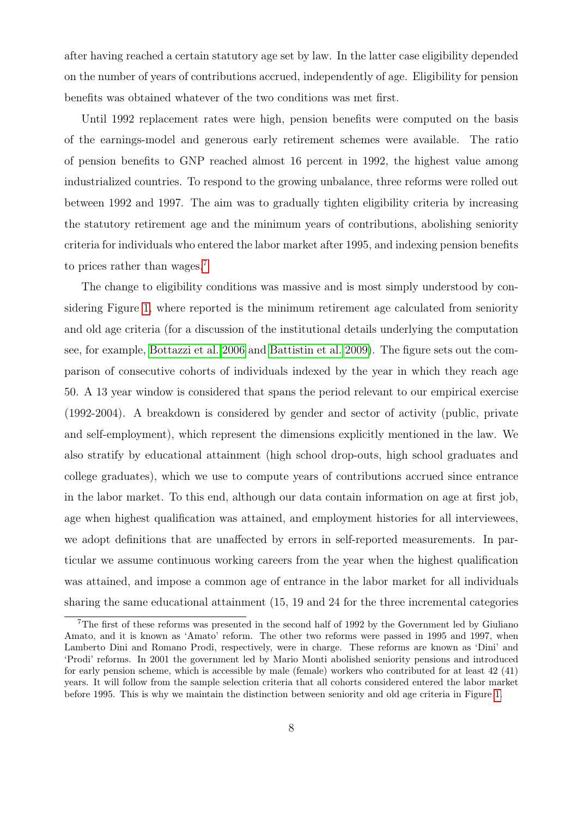after having reached a certain statutory age set by law. In the latter case eligibility depended on the number of years of contributions accrued, independently of age. Eligibility for pension benefits was obtained whatever of the two conditions was met first.

Until 1992 replacement rates were high, pension benefits were computed on the basis of the earnings-model and generous early retirement schemes were available. The ratio of pension benefits to GNP reached almost 16 percent in 1992, the highest value among industrialized countries. To respond to the growing unbalance, three reforms were rolled out between 1992 and 1997. The aim was to gradually tighten eligibility criteria by increasing the statutory retirement age and the minimum years of contributions, abolishing seniority criteria for individuals who entered the labor market after 1995, and indexing pension benefits to prices rather than wages.<sup>[7](#page-9-0)</sup>

The change to eligibility conditions was massive and is most simply understood by considering Figure [1,](#page-38-0) where reported is the minimum retirement age calculated from seniority and old age criteria (for a discussion of the institutional details underlying the computation see, for example, [Bottazzi et al. 2006](#page-27-0) and [Battistin et al. 2009\)](#page-26-0). The figure sets out the comparison of consecutive cohorts of individuals indexed by the year in which they reach age 50. A 13 year window is considered that spans the period relevant to our empirical exercise (1992-2004). A breakdown is considered by gender and sector of activity (public, private and self-employment), which represent the dimensions explicitly mentioned in the law. We also stratify by educational attainment (high school drop-outs, high school graduates and college graduates), which we use to compute years of contributions accrued since entrance in the labor market. To this end, although our data contain information on age at first job, age when highest qualification was attained, and employment histories for all interviewees, we adopt definitions that are unaffected by errors in self-reported measurements. In particular we assume continuous working careers from the year when the highest qualification was attained, and impose a common age of entrance in the labor market for all individuals sharing the same educational attainment (15, 19 and 24 for the three incremental categories

<span id="page-9-0"></span><sup>7</sup>The first of these reforms was presented in the second half of 1992 by the Government led by Giuliano Amato, and it is known as 'Amato' reform. The other two reforms were passed in 1995 and 1997, when Lamberto Dini and Romano Prodi, respectively, were in charge. These reforms are known as 'Dini' and 'Prodi' reforms. In 2001 the government led by Mario Monti abolished seniority pensions and introduced for early pension scheme, which is accessible by male (female) workers who contributed for at least 42 (41) years. It will follow from the sample selection criteria that all cohorts considered entered the labor market before 1995. This is why we maintain the distinction between seniority and old age criteria in Figure [1.](#page-38-0)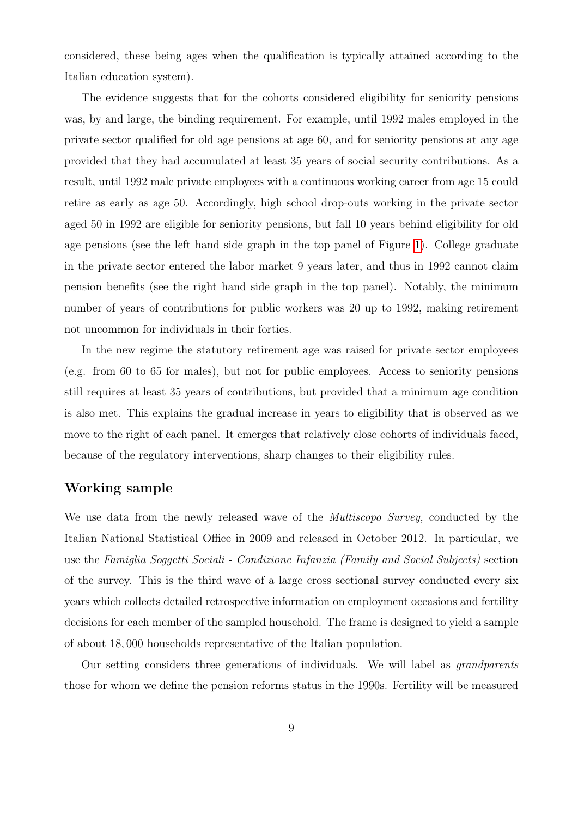considered, these being ages when the qualification is typically attained according to the Italian education system).

The evidence suggests that for the cohorts considered eligibility for seniority pensions was, by and large, the binding requirement. For example, until 1992 males employed in the private sector qualified for old age pensions at age 60, and for seniority pensions at any age provided that they had accumulated at least 35 years of social security contributions. As a result, until 1992 male private employees with a continuous working career from age 15 could retire as early as age 50. Accordingly, high school drop-outs working in the private sector aged 50 in 1992 are eligible for seniority pensions, but fall 10 years behind eligibility for old age pensions (see the left hand side graph in the top panel of Figure [1\)](#page-38-0). College graduate in the private sector entered the labor market 9 years later, and thus in 1992 cannot claim pension benefits (see the right hand side graph in the top panel). Notably, the minimum number of years of contributions for public workers was 20 up to 1992, making retirement not uncommon for individuals in their forties.

In the new regime the statutory retirement age was raised for private sector employees (e.g. from 60 to 65 for males), but not for public employees. Access to seniority pensions still requires at least 35 years of contributions, but provided that a minimum age condition is also met. This explains the gradual increase in years to eligibility that is observed as we move to the right of each panel. It emerges that relatively close cohorts of individuals faced, because of the regulatory interventions, sharp changes to their eligibility rules.

#### <span id="page-10-0"></span>Working sample

We use data from the newly released wave of the *Multiscopo Survey*, conducted by the Italian National Statistical Office in 2009 and released in October 2012. In particular, we use the Famiglia Soggetti Sociali - Condizione Infanzia (Family and Social Subjects) section of the survey. This is the third wave of a large cross sectional survey conducted every six years which collects detailed retrospective information on employment occasions and fertility decisions for each member of the sampled household. The frame is designed to yield a sample of about 18, 000 households representative of the Italian population.

Our setting considers three generations of individuals. We will label as grandparents those for whom we define the pension reforms status in the 1990s. Fertility will be measured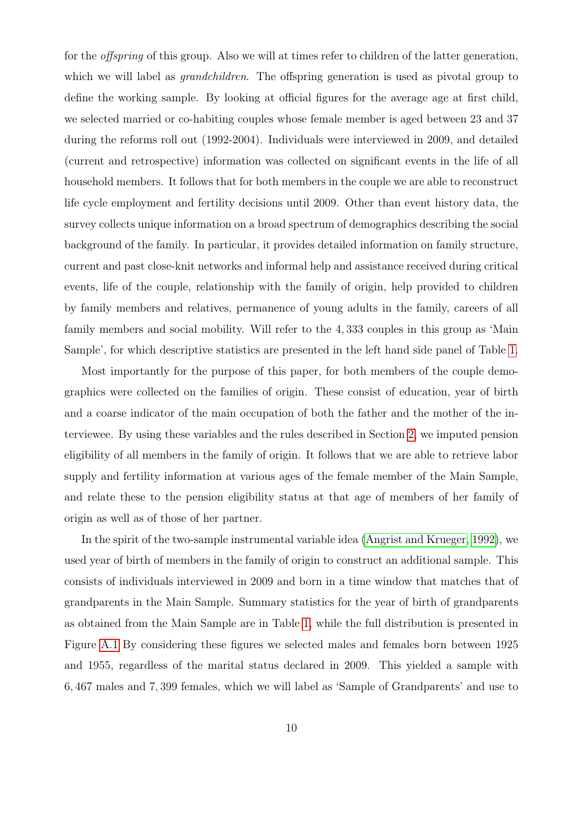for the *offspring* of this group. Also we will at times refer to children of the latter generation, which we will label as *grandchildren*. The offspring generation is used as pivotal group to define the working sample. By looking at official figures for the average age at first child, we selected married or co-habiting couples whose female member is aged between 23 and 37 during the reforms roll out (1992-2004). Individuals were interviewed in 2009, and detailed (current and retrospective) information was collected on significant events in the life of all household members. It follows that for both members in the couple we are able to reconstruct life cycle employment and fertility decisions until 2009. Other than event history data, the survey collects unique information on a broad spectrum of demographics describing the social background of the family. In particular, it provides detailed information on family structure, current and past close-knit networks and informal help and assistance received during critical events, life of the couple, relationship with the family of origin, help provided to children by family members and relatives, permanence of young adults in the family, careers of all family members and social mobility. Will refer to the 4, 333 couples in this group as 'Main Sample', for which descriptive statistics are presented in the left hand side panel of Table [1.](#page-30-0)

Most importantly for the purpose of this paper, for both members of the couple demographics were collected on the families of origin. These consist of education, year of birth and a coarse indicator of the main occupation of both the father and the mother of the interviewee. By using these variables and the rules described in Section [2,](#page-8-1) we imputed pension eligibility of all members in the family of origin. It follows that we are able to retrieve labor supply and fertility information at various ages of the female member of the Main Sample, and relate these to the pension eligibility status at that age of members of her family of origin as well as of those of her partner.

In the spirit of the two-sample instrumental variable idea [\(Angrist and Krueger, 1992\)](#page-26-7), we used year of birth of members in the family of origin to construct an additional sample. This consists of individuals interviewed in 2009 and born in a time window that matches that of grandparents in the Main Sample. Summary statistics for the year of birth of grandparents as obtained from the Main Sample are in Table [1,](#page-30-0) while the full distribution is presented in Figure [A.1](#page-43-0) By considering these figures we selected males and females born between 1925 and 1955, regardless of the marital status declared in 2009. This yielded a sample with 6, 467 males and 7, 399 females, which we will label as 'Sample of Grandparents' and use to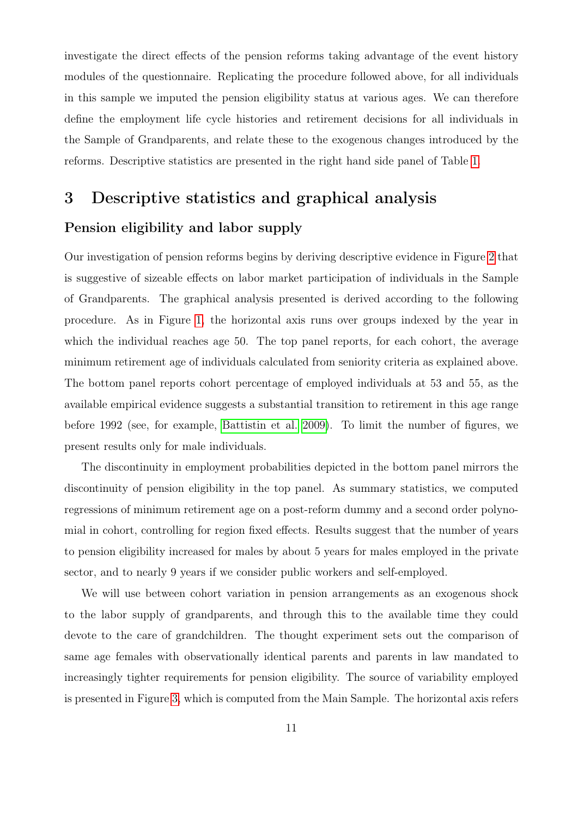investigate the direct effects of the pension reforms taking advantage of the event history modules of the questionnaire. Replicating the procedure followed above, for all individuals in this sample we imputed the pension eligibility status at various ages. We can therefore define the employment life cycle histories and retirement decisions for all individuals in the Sample of Grandparents, and relate these to the exogenous changes introduced by the reforms. Descriptive statistics are presented in the right hand side panel of Table [1.](#page-30-0)

# <span id="page-12-0"></span>3 Descriptive statistics and graphical analysis Pension eligibility and labor supply

Our investigation of pension reforms begins by deriving descriptive evidence in Figure [2](#page-39-0) that is suggestive of sizeable effects on labor market participation of individuals in the Sample of Grandparents. The graphical analysis presented is derived according to the following procedure. As in Figure [1,](#page-38-0) the horizontal axis runs over groups indexed by the year in which the individual reaches age 50. The top panel reports, for each cohort, the average minimum retirement age of individuals calculated from seniority criteria as explained above. The bottom panel reports cohort percentage of employed individuals at 53 and 55, as the available empirical evidence suggests a substantial transition to retirement in this age range before 1992 (see, for example, [Battistin et al. 2009\)](#page-26-0). To limit the number of figures, we present results only for male individuals.

The discontinuity in employment probabilities depicted in the bottom panel mirrors the discontinuity of pension eligibility in the top panel. As summary statistics, we computed regressions of minimum retirement age on a post-reform dummy and a second order polynomial in cohort, controlling for region fixed effects. Results suggest that the number of years to pension eligibility increased for males by about 5 years for males employed in the private sector, and to nearly 9 years if we consider public workers and self-employed.

We will use between cohort variation in pension arrangements as an exogenous shock to the labor supply of grandparents, and through this to the available time they could devote to the care of grandchildren. The thought experiment sets out the comparison of same age females with observationally identical parents and parents in law mandated to increasingly tighter requirements for pension eligibility. The source of variability employed is presented in Figure [3,](#page-40-0) which is computed from the Main Sample. The horizontal axis refers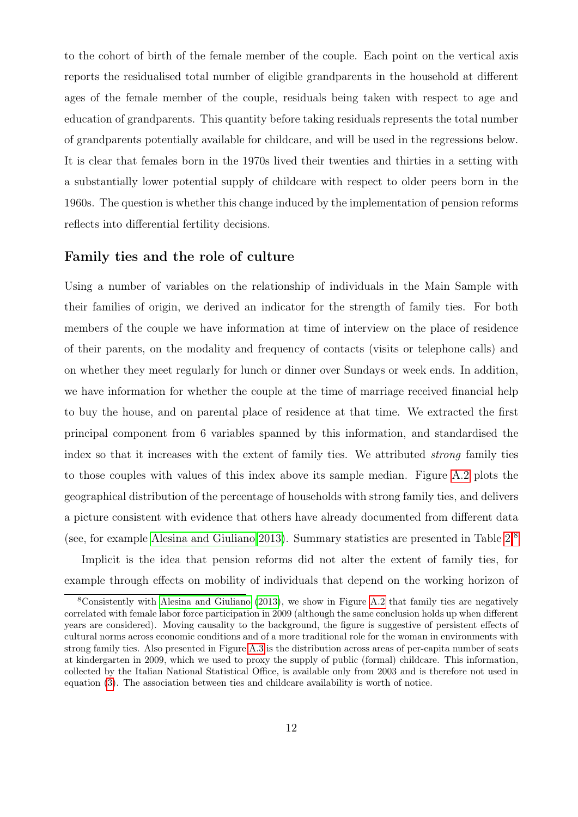to the cohort of birth of the female member of the couple. Each point on the vertical axis reports the residualised total number of eligible grandparents in the household at different ages of the female member of the couple, residuals being taken with respect to age and education of grandparents. This quantity before taking residuals represents the total number of grandparents potentially available for childcare, and will be used in the regressions below. It is clear that females born in the 1970s lived their twenties and thirties in a setting with a substantially lower potential supply of childcare with respect to older peers born in the 1960s. The question is whether this change induced by the implementation of pension reforms reflects into differential fertility decisions.

#### Family ties and the role of culture

Using a number of variables on the relationship of individuals in the Main Sample with their families of origin, we derived an indicator for the strength of family ties. For both members of the couple we have information at time of interview on the place of residence of their parents, on the modality and frequency of contacts (visits or telephone calls) and on whether they meet regularly for lunch or dinner over Sundays or week ends. In addition, we have information for whether the couple at the time of marriage received financial help to buy the house, and on parental place of residence at that time. We extracted the first principal component from 6 variables spanned by this information, and standardised the index so that it increases with the extent of family ties. We attributed strong family ties to those couples with values of this index above its sample median. Figure [A.2](#page-44-0) plots the geographical distribution of the percentage of households with strong family ties, and delivers a picture consistent with evidence that others have already documented from different data (see, for example [Alesina and Giuliano 2013\)](#page-26-8). Summary statistics are presented in Table [2.](#page-30-1)[8](#page-13-0)

Implicit is the idea that pension reforms did not alter the extent of family ties, for example through effects on mobility of individuals that depend on the working horizon of

<span id="page-13-0"></span><sup>8</sup>Consistently with [Alesina and Giuliano](#page-26-8) [\(2013\)](#page-26-8), we show in Figure [A.2](#page-44-0) that family ties are negatively correlated with female labor force participation in 2009 (although the same conclusion holds up when different years are considered). Moving causality to the background, the figure is suggestive of persistent effects of cultural norms across economic conditions and of a more traditional role for the woman in environments with strong family ties. Also presented in Figure [A.3](#page-45-0) is the distribution across areas of per-capita number of seats at kindergarten in 2009, which we used to proxy the supply of public (formal) childcare. This information, collected by the Italian National Statistical Office, is available only from 2003 and is therefore not used in equation [\(3\)](#page-16-0). The association between ties and childcare availability is worth of notice.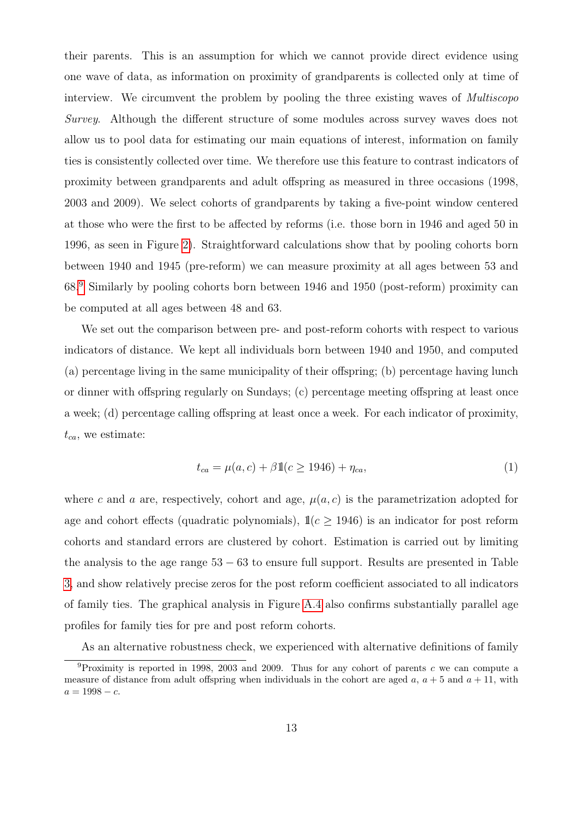their parents. This is an assumption for which we cannot provide direct evidence using one wave of data, as information on proximity of grandparents is collected only at time of interview. We circumvent the problem by pooling the three existing waves of *Multiscopo* Survey. Although the different structure of some modules across survey waves does not allow us to pool data for estimating our main equations of interest, information on family ties is consistently collected over time. We therefore use this feature to contrast indicators of proximity between grandparents and adult offspring as measured in three occasions (1998, 2003 and 2009). We select cohorts of grandparents by taking a five-point window centered at those who were the first to be affected by reforms (i.e. those born in 1946 and aged 50 in 1996, as seen in Figure [2\)](#page-39-0). Straightforward calculations show that by pooling cohorts born between 1940 and 1945 (pre-reform) we can measure proximity at all ages between 53 and 68. [9](#page-14-0) Similarly by pooling cohorts born between 1946 and 1950 (post-reform) proximity can be computed at all ages between 48 and 63.

We set out the comparison between pre- and post-reform cohorts with respect to various indicators of distance. We kept all individuals born between 1940 and 1950, and computed (a) percentage living in the same municipality of their offspring; (b) percentage having lunch or dinner with offspring regularly on Sundays; (c) percentage meeting offspring at least once a week; (d) percentage calling offspring at least once a week. For each indicator of proximity,  $t_{ca}$ , we estimate:

<span id="page-14-1"></span>
$$
t_{ca} = \mu(a, c) + \beta \mathbb{1}(c \ge 1946) + \eta_{ca},\tag{1}
$$

where c and a are, respectively, cohort and age,  $\mu(a, c)$  is the parametrization adopted for age and cohort effects (quadratic polynomials),  $\mathbb{1}(c \ge 1946)$  is an indicator for post reform cohorts and standard errors are clustered by cohort. Estimation is carried out by limiting the analysis to the age range  $53 - 63$  to ensure full support. Results are presented in Table [3,](#page-31-0) and show relatively precise zeros for the post reform coefficient associated to all indicators of family ties. The graphical analysis in Figure [A.4](#page-46-0) also confirms substantially parallel age profiles for family ties for pre and post reform cohorts.

As an alternative robustness check, we experienced with alternative definitions of family

<span id="page-14-0"></span> $9P$ roximity is reported in 1998, 2003 and 2009. Thus for any cohort of parents c we can compute a measure of distance from adult offspring when individuals in the cohort are aged  $a, a + 5$  and  $a + 11$ , with  $a = 1998 - c.$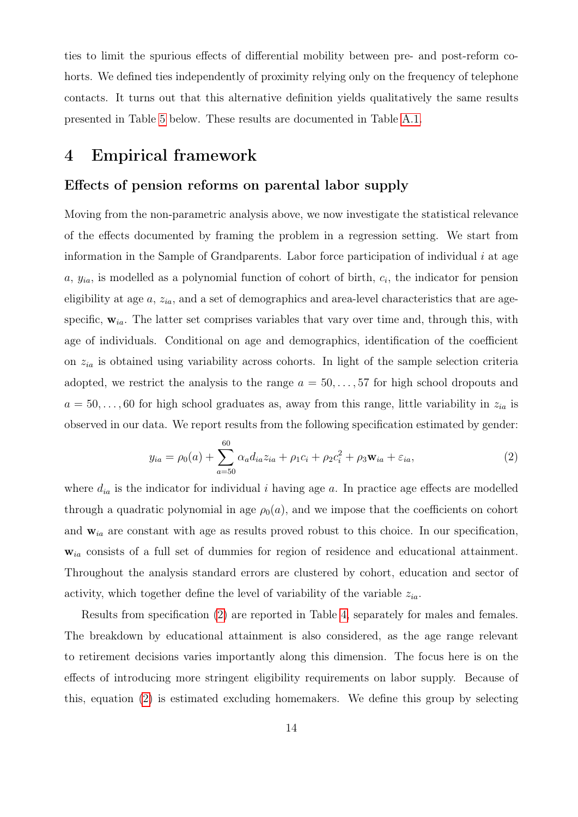ties to limit the spurious effects of differential mobility between pre- and post-reform cohorts. We defined ties independently of proximity relying only on the frequency of telephone contacts. It turns out that this alternative definition yields qualitatively the same results presented in Table [5](#page-33-0) below. These results are documented in Table [A.1.](#page-42-0)

## <span id="page-15-0"></span>4 Empirical framework

#### Effects of pension reforms on parental labor supply

Moving from the non-parametric analysis above, we now investigate the statistical relevance of the effects documented by framing the problem in a regression setting. We start from information in the Sample of Grandparents. Labor force participation of individual  $i$  at age  $a, y_{ia}$ , is modelled as a polynomial function of cohort of birth,  $c_i$ , the indicator for pension eligibility at age  $a$ ,  $z_{ia}$ , and a set of demographics and area-level characteristics that are agespecific,  $w_{ia}$ . The latter set comprises variables that vary over time and, through this, with age of individuals. Conditional on age and demographics, identification of the coefficient on  $z_{ia}$  is obtained using variability across cohorts. In light of the sample selection criteria adopted, we restrict the analysis to the range  $a = 50, \ldots, 57$  for high school dropouts and  $a = 50, \ldots, 60$  for high school graduates as, away from this range, little variability in  $z_{ia}$  is observed in our data. We report results from the following specification estimated by gender:

<span id="page-15-1"></span>
$$
y_{ia} = \rho_0(a) + \sum_{a=50}^{60} \alpha_a d_{ia} z_{ia} + \rho_1 c_i + \rho_2 c_i^2 + \rho_3 \mathbf{w}_{ia} + \varepsilon_{ia}, \tag{2}
$$

where  $d_{ia}$  is the indicator for individual i having age a. In practice age effects are modelled through a quadratic polynomial in age  $\rho_0(a)$ , and we impose that the coefficients on cohort and  $w_{ia}$  are constant with age as results proved robust to this choice. In our specification,  $w_{ia}$  consists of a full set of dummies for region of residence and educational attainment. Throughout the analysis standard errors are clustered by cohort, education and sector of activity, which together define the level of variability of the variable  $z_{ia}$ .

Results from specification [\(2\)](#page-15-1) are reported in Table [4,](#page-32-0) separately for males and females. The breakdown by educational attainment is also considered, as the age range relevant to retirement decisions varies importantly along this dimension. The focus here is on the effects of introducing more stringent eligibility requirements on labor supply. Because of this, equation [\(2\)](#page-15-1) is estimated excluding homemakers. We define this group by selecting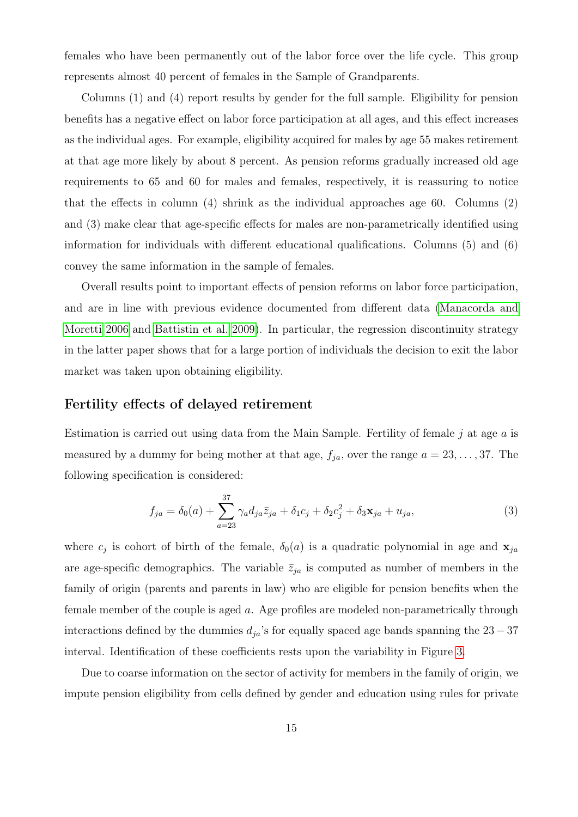females who have been permanently out of the labor force over the life cycle. This group represents almost 40 percent of females in the Sample of Grandparents.

Columns (1) and (4) report results by gender for the full sample. Eligibility for pension benefits has a negative effect on labor force participation at all ages, and this effect increases as the individual ages. For example, eligibility acquired for males by age 55 makes retirement at that age more likely by about 8 percent. As pension reforms gradually increased old age requirements to 65 and 60 for males and females, respectively, it is reassuring to notice that the effects in column (4) shrink as the individual approaches age 60. Columns (2) and (3) make clear that age-specific effects for males are non-parametrically identified using information for individuals with different educational qualifications. Columns (5) and (6) convey the same information in the sample of females.

Overall results point to important effects of pension reforms on labor force participation, and are in line with previous evidence documented from different data [\(Manacorda and](#page-29-3) [Moretti 2006](#page-29-3) and [Battistin et al. 2009\)](#page-26-0). In particular, the regression discontinuity strategy in the latter paper shows that for a large portion of individuals the decision to exit the labor market was taken upon obtaining eligibility.

#### Fertility effects of delayed retirement

Estimation is carried out using data from the Main Sample. Fertility of female  $j$  at age  $a$  is measured by a dummy for being mother at that age,  $f_{ja}$ , over the range  $a = 23, \ldots, 37$ . The following specification is considered:

<span id="page-16-0"></span>
$$
f_{ja} = \delta_0(a) + \sum_{a=23}^{37} \gamma_a d_{ja} \bar{z}_{ja} + \delta_1 c_j + \delta_2 c_j^2 + \delta_3 \mathbf{x}_{ja} + u_{ja}, \tag{3}
$$

where  $c_j$  is cohort of birth of the female,  $\delta_0(a)$  is a quadratic polynomial in age and  $\mathbf{x}_{ja}$ are age-specific demographics. The variable  $\bar{z}_{ja}$  is computed as number of members in the family of origin (parents and parents in law) who are eligible for pension benefits when the female member of the couple is aged a. Age profiles are modeled non-parametrically through interactions defined by the dummies  $d_{ja}$ 's for equally spaced age bands spanning the 23 – 37 interval. Identification of these coefficients rests upon the variability in Figure [3.](#page-40-0)

Due to coarse information on the sector of activity for members in the family of origin, we impute pension eligibility from cells defined by gender and education using rules for private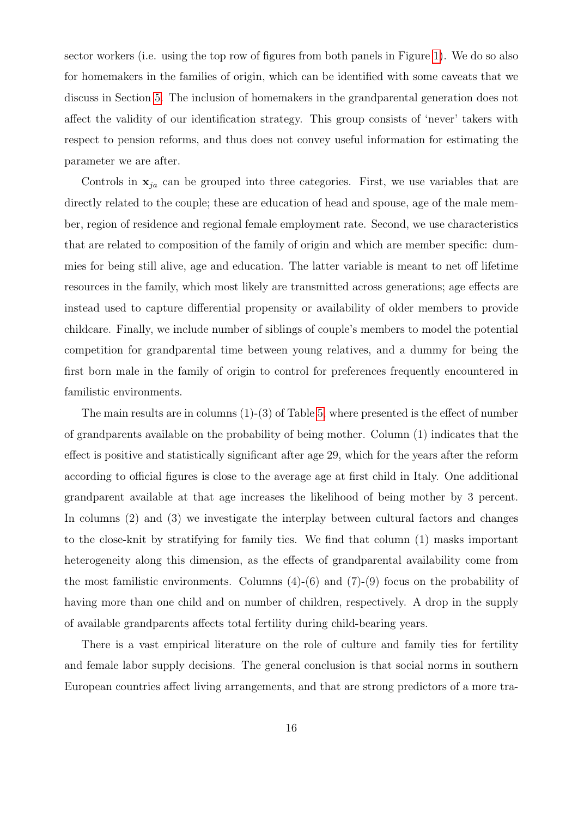sector workers (i.e. using the top row of figures from both panels in Figure [1\)](#page-38-0). We do so also for homemakers in the families of origin, which can be identified with some caveats that we discuss in Section [5.](#page-20-0) The inclusion of homemakers in the grandparental generation does not affect the validity of our identification strategy. This group consists of 'never' takers with respect to pension reforms, and thus does not convey useful information for estimating the parameter we are after.

Controls in  $x_{ja}$  can be grouped into three categories. First, we use variables that are directly related to the couple; these are education of head and spouse, age of the male member, region of residence and regional female employment rate. Second, we use characteristics that are related to composition of the family of origin and which are member specific: dummies for being still alive, age and education. The latter variable is meant to net off lifetime resources in the family, which most likely are transmitted across generations; age effects are instead used to capture differential propensity or availability of older members to provide childcare. Finally, we include number of siblings of couple's members to model the potential competition for grandparental time between young relatives, and a dummy for being the first born male in the family of origin to control for preferences frequently encountered in familistic environments.

The main results are in columns  $(1)-(3)$  of Table [5,](#page-33-0) where presented is the effect of number of grandparents available on the probability of being mother. Column (1) indicates that the effect is positive and statistically significant after age 29, which for the years after the reform according to official figures is close to the average age at first child in Italy. One additional grandparent available at that age increases the likelihood of being mother by 3 percent. In columns (2) and (3) we investigate the interplay between cultural factors and changes to the close-knit by stratifying for family ties. We find that column (1) masks important heterogeneity along this dimension, as the effects of grandparental availability come from the most familistic environments. Columns  $(4)-(6)$  and  $(7)-(9)$  focus on the probability of having more than one child and on number of children, respectively. A drop in the supply of available grandparents affects total fertility during child-bearing years.

There is a vast empirical literature on the role of culture and family ties for fertility and female labor supply decisions. The general conclusion is that social norms in southern European countries affect living arrangements, and that are strong predictors of a more tra-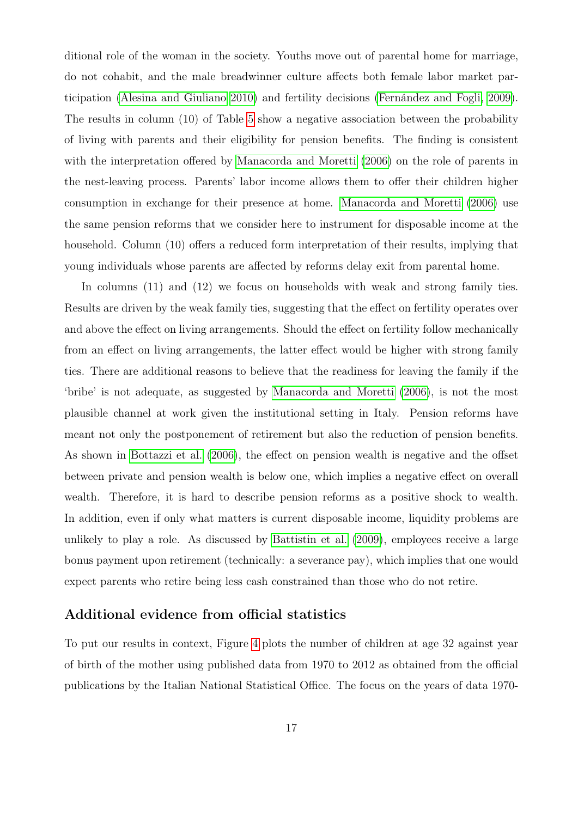ditional role of the woman in the society. Youths move out of parental home for marriage, do not cohabit, and the male breadwinner culture affects both female labor market participation [\(Alesina and Giuliano 2010\)](#page-26-4) and fertility decisions [\(Fernández and Fogli, 2009\)](#page-28-9). The results in column (10) of Table [5](#page-33-0) show a negative association between the probability of living with parents and their eligibility for pension benefits. The finding is consistent with the interpretation offered by [Manacorda and Moretti](#page-29-3) [\(2006\)](#page-29-3) on the role of parents in the nest-leaving process. Parents' labor income allows them to offer their children higher consumption in exchange for their presence at home. [Manacorda and Moretti](#page-29-3) [\(2006\)](#page-29-3) use the same pension reforms that we consider here to instrument for disposable income at the household. Column (10) offers a reduced form interpretation of their results, implying that young individuals whose parents are affected by reforms delay exit from parental home.

In columns (11) and (12) we focus on households with weak and strong family ties. Results are driven by the weak family ties, suggesting that the effect on fertility operates over and above the effect on living arrangements. Should the effect on fertility follow mechanically from an effect on living arrangements, the latter effect would be higher with strong family ties. There are additional reasons to believe that the readiness for leaving the family if the 'bribe' is not adequate, as suggested by [Manacorda and Moretti](#page-29-3) [\(2006\)](#page-29-3), is not the most plausible channel at work given the institutional setting in Italy. Pension reforms have meant not only the postponement of retirement but also the reduction of pension benefits. As shown in [Bottazzi et al.](#page-27-0) [\(2006\)](#page-27-0), the effect on pension wealth is negative and the offset between private and pension wealth is below one, which implies a negative effect on overall wealth. Therefore, it is hard to describe pension reforms as a positive shock to wealth. In addition, even if only what matters is current disposable income, liquidity problems are unlikely to play a role. As discussed by [Battistin et al.](#page-26-0) [\(2009\)](#page-26-0), employees receive a large bonus payment upon retirement (technically: a severance pay), which implies that one would expect parents who retire being less cash constrained than those who do not retire.

#### Additional evidence from official statistics

To put our results in context, Figure [4](#page-41-0) plots the number of children at age 32 against year of birth of the mother using published data from 1970 to 2012 as obtained from the official publications by the Italian National Statistical Office. The focus on the years of data 1970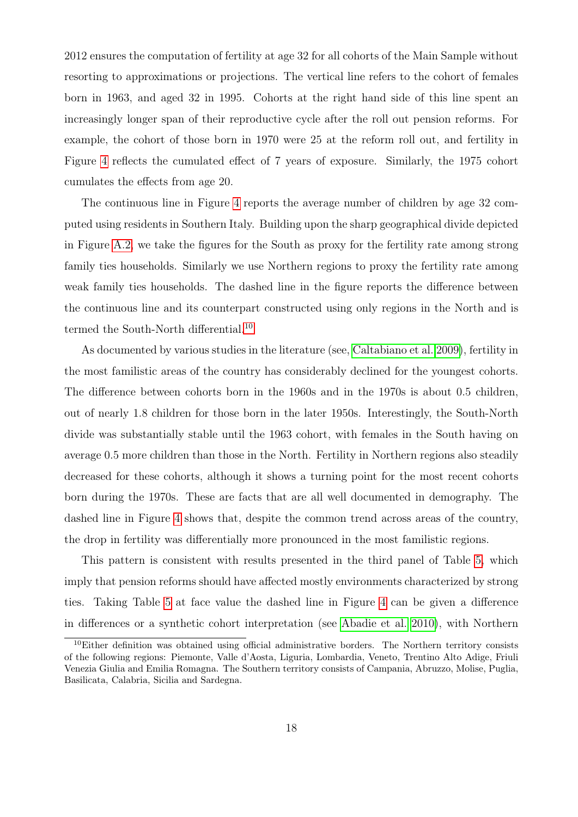2012 ensures the computation of fertility at age 32 for all cohorts of the Main Sample without resorting to approximations or projections. The vertical line refers to the cohort of females born in 1963, and aged 32 in 1995. Cohorts at the right hand side of this line spent an increasingly longer span of their reproductive cycle after the roll out pension reforms. For example, the cohort of those born in 1970 were 25 at the reform roll out, and fertility in Figure [4](#page-41-0) reflects the cumulated effect of 7 years of exposure. Similarly, the 1975 cohort cumulates the effects from age 20.

The continuous line in Figure [4](#page-41-0) reports the average number of children by age 32 computed using residents in Southern Italy. Building upon the sharp geographical divide depicted in Figure [A.2,](#page-44-0) we take the figures for the South as proxy for the fertility rate among strong family ties households. Similarly we use Northern regions to proxy the fertility rate among weak family ties households. The dashed line in the figure reports the difference between the continuous line and its counterpart constructed using only regions in the North and is termed the South-North differential.<sup>[10](#page-19-0)</sup>

As documented by various studies in the literature (see, [Caltabiano et al. 2009\)](#page-27-9), fertility in the most familistic areas of the country has considerably declined for the youngest cohorts. The difference between cohorts born in the 1960s and in the 1970s is about 0.5 children, out of nearly 1.8 children for those born in the later 1950s. Interestingly, the South-North divide was substantially stable until the 1963 cohort, with females in the South having on average 0.5 more children than those in the North. Fertility in Northern regions also steadily decreased for these cohorts, although it shows a turning point for the most recent cohorts born during the 1970s. These are facts that are all well documented in demography. The dashed line in Figure [4](#page-41-0) shows that, despite the common trend across areas of the country, the drop in fertility was differentially more pronounced in the most familistic regions.

This pattern is consistent with results presented in the third panel of Table [5,](#page-33-0) which imply that pension reforms should have affected mostly environments characterized by strong ties. Taking Table [5](#page-33-0) at face value the dashed line in Figure [4](#page-41-0) can be given a difference in differences or a synthetic cohort interpretation (see [Abadie et al. 2010\)](#page-26-9), with Northern

<span id="page-19-0"></span><sup>&</sup>lt;sup>10</sup>Either definition was obtained using official administrative borders. The Northern territory consists of the following regions: Piemonte, Valle d'Aosta, Liguria, Lombardia, Veneto, Trentino Alto Adige, Friuli Venezia Giulia and Emilia Romagna. The Southern territory consists of Campania, Abruzzo, Molise, Puglia, Basilicata, Calabria, Sicilia and Sardegna.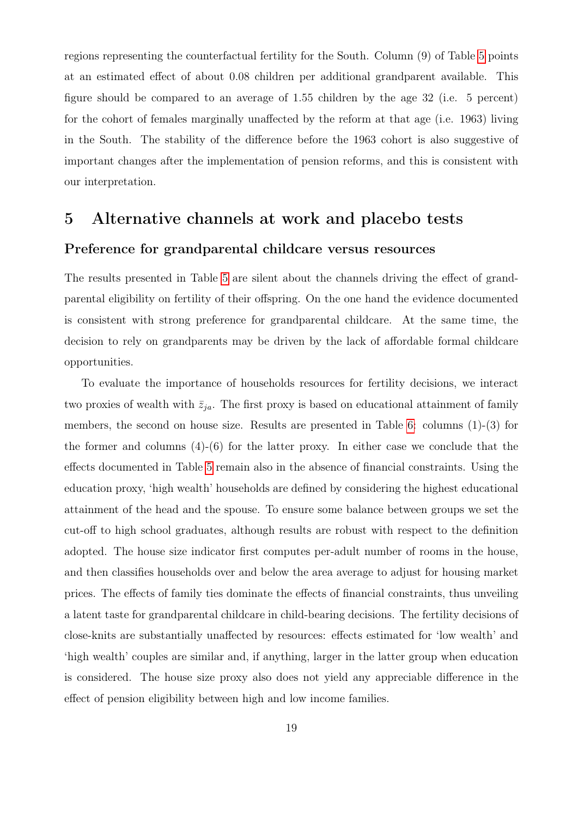regions representing the counterfactual fertility for the South. Column (9) of Table [5](#page-33-0) points at an estimated effect of about 0.08 children per additional grandparent available. This figure should be compared to an average of 1.55 children by the age 32 (i.e. 5 percent) for the cohort of females marginally unaffected by the reform at that age (i.e. 1963) living in the South. The stability of the difference before the 1963 cohort is also suggestive of important changes after the implementation of pension reforms, and this is consistent with our interpretation.

# <span id="page-20-0"></span>5 Alternative channels at work and placebo tests Preference for grandparental childcare versus resources

The results presented in Table [5](#page-33-0) are silent about the channels driving the effect of grandparental eligibility on fertility of their offspring. On the one hand the evidence documented is consistent with strong preference for grandparental childcare. At the same time, the decision to rely on grandparents may be driven by the lack of affordable formal childcare opportunities.

To evaluate the importance of households resources for fertility decisions, we interact two proxies of wealth with  $\bar{z}_{ja}$ . The first proxy is based on educational attainment of family members, the second on house size. Results are presented in Table [6:](#page-34-0) columns (1)-(3) for the former and columns  $(4)-(6)$  for the latter proxy. In either case we conclude that the effects documented in Table [5](#page-33-0) remain also in the absence of financial constraints. Using the education proxy, 'high wealth' households are defined by considering the highest educational attainment of the head and the spouse. To ensure some balance between groups we set the cut-off to high school graduates, although results are robust with respect to the definition adopted. The house size indicator first computes per-adult number of rooms in the house, and then classifies households over and below the area average to adjust for housing market prices. The effects of family ties dominate the effects of financial constraints, thus unveiling a latent taste for grandparental childcare in child-bearing decisions. The fertility decisions of close-knits are substantially unaffected by resources: effects estimated for 'low wealth' and 'high wealth' couples are similar and, if anything, larger in the latter group when education is considered. The house size proxy also does not yield any appreciable difference in the effect of pension eligibility between high and low income families.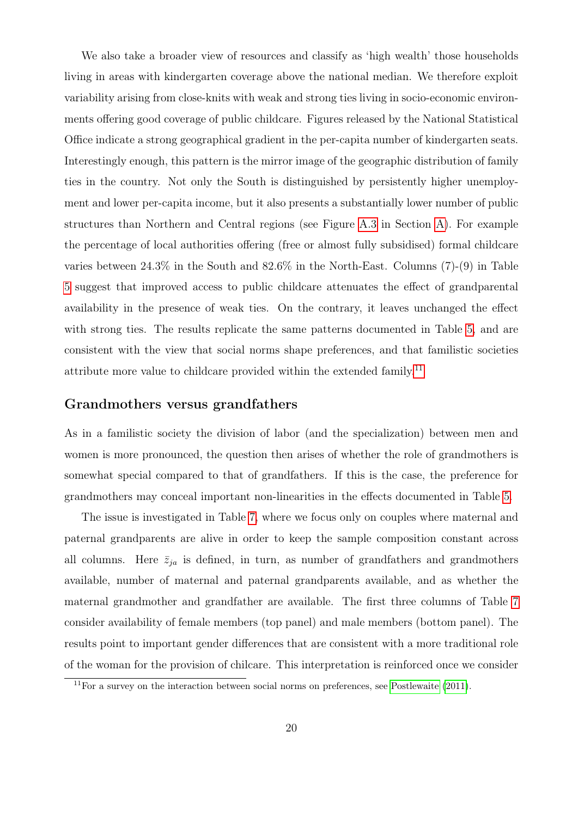We also take a broader view of resources and classify as 'high wealth' those households living in areas with kindergarten coverage above the national median. We therefore exploit variability arising from close-knits with weak and strong ties living in socio-economic environments offering good coverage of public childcare. Figures released by the National Statistical Office indicate a strong geographical gradient in the per-capita number of kindergarten seats. Interestingly enough, this pattern is the mirror image of the geographic distribution of family ties in the country. Not only the South is distinguished by persistently higher unemployment and lower per-capita income, but it also presents a substantially lower number of public structures than Northern and Central regions (see Figure [A.3](#page-45-0) in Section [A\)](#page-42-1). For example the percentage of local authorities offering (free or almost fully subsidised) formal childcare varies between 24.3% in the South and 82.6% in the North-East. Columns (7)-(9) in Table [5](#page-33-0) suggest that improved access to public childcare attenuates the effect of grandparental availability in the presence of weak ties. On the contrary, it leaves unchanged the effect with strong ties. The results replicate the same patterns documented in Table [5,](#page-33-0) and are consistent with the view that social norms shape preferences, and that familistic societies attribute more value to childcare provided within the extended family.<sup>[11](#page-21-0)</sup>

#### Grandmothers versus grandfathers

As in a familistic society the division of labor (and the specialization) between men and women is more pronounced, the question then arises of whether the role of grandmothers is somewhat special compared to that of grandfathers. If this is the case, the preference for grandmothers may conceal important non-linearities in the effects documented in Table [5.](#page-33-0)

The issue is investigated in Table [7,](#page-35-0) where we focus only on couples where maternal and paternal grandparents are alive in order to keep the sample composition constant across all columns. Here  $\bar{z}_{ja}$  is defined, in turn, as number of grandfathers and grandmothers available, number of maternal and paternal grandparents available, and as whether the maternal grandmother and grandfather are available. The first three columns of Table [7](#page-35-0) consider availability of female members (top panel) and male members (bottom panel). The results point to important gender differences that are consistent with a more traditional role of the woman for the provision of chilcare. This interpretation is reinforced once we consider

<span id="page-21-0"></span> $11$ For a survey on the interaction between social norms on preferences, see [Postlewaite](#page-29-6) [\(2011\)](#page-29-6).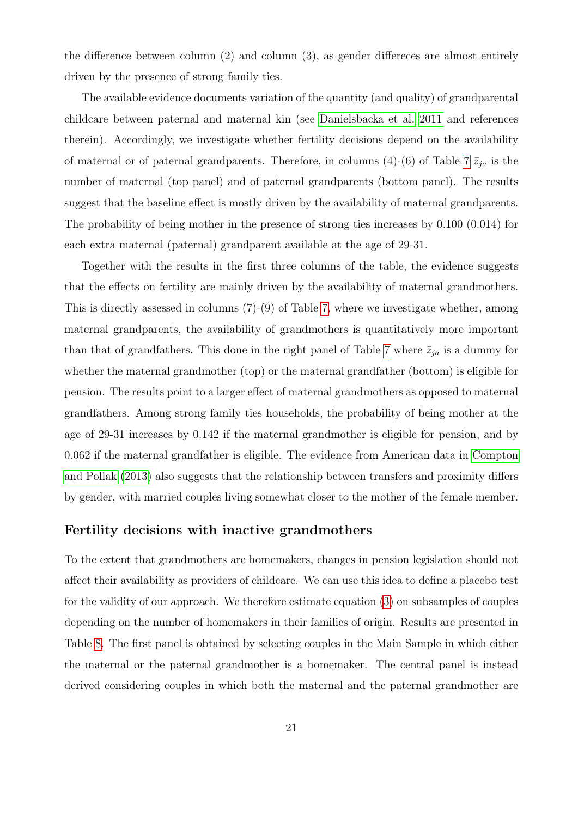the difference between column (2) and column (3), as gender differeces are almost entirely driven by the presence of strong family ties.

The available evidence documents variation of the quantity (and quality) of grandparental childcare between paternal and maternal kin (see [Danielsbacka et al. 2011](#page-28-10) and references therein). Accordingly, we investigate whether fertility decisions depend on the availability of maternal or of paternal grandparents. Therefore, in columns (4)-(6) of Table [7](#page-35-0)  $\bar{z}_{ja}$  is the number of maternal (top panel) and of paternal grandparents (bottom panel). The results suggest that the baseline effect is mostly driven by the availability of maternal grandparents. The probability of being mother in the presence of strong ties increases by 0.100 (0.014) for each extra maternal (paternal) grandparent available at the age of 29-31.

Together with the results in the first three columns of the table, the evidence suggests that the effects on fertility are mainly driven by the availability of maternal grandmothers. This is directly assessed in columns (7)-(9) of Table [7,](#page-35-0) where we investigate whether, among maternal grandparents, the availability of grandmothers is quantitatively more important than that of grandfathers. This done in the right panel of Table [7](#page-35-0) where  $\bar{z}_{ja}$  is a dummy for whether the maternal grandmother (top) or the maternal grandfather (bottom) is eligible for pension. The results point to a larger effect of maternal grandmothers as opposed to maternal grandfathers. Among strong family ties households, the probability of being mother at the age of 29-31 increases by 0.142 if the maternal grandmother is eligible for pension, and by 0.062 if the maternal grandfather is eligible. The evidence from American data in [Compton](#page-27-5) [and Pollak](#page-27-5) [\(2013\)](#page-27-5) also suggests that the relationship between transfers and proximity differs by gender, with married couples living somewhat closer to the mother of the female member.

#### Fertility decisions with inactive grandmothers

To the extent that grandmothers are homemakers, changes in pension legislation should not affect their availability as providers of childcare. We can use this idea to define a placebo test for the validity of our approach. We therefore estimate equation [\(3\)](#page-16-0) on subsamples of couples depending on the number of homemakers in their families of origin. Results are presented in Table [8.](#page-36-0) The first panel is obtained by selecting couples in the Main Sample in which either the maternal or the paternal grandmother is a homemaker. The central panel is instead derived considering couples in which both the maternal and the paternal grandmother are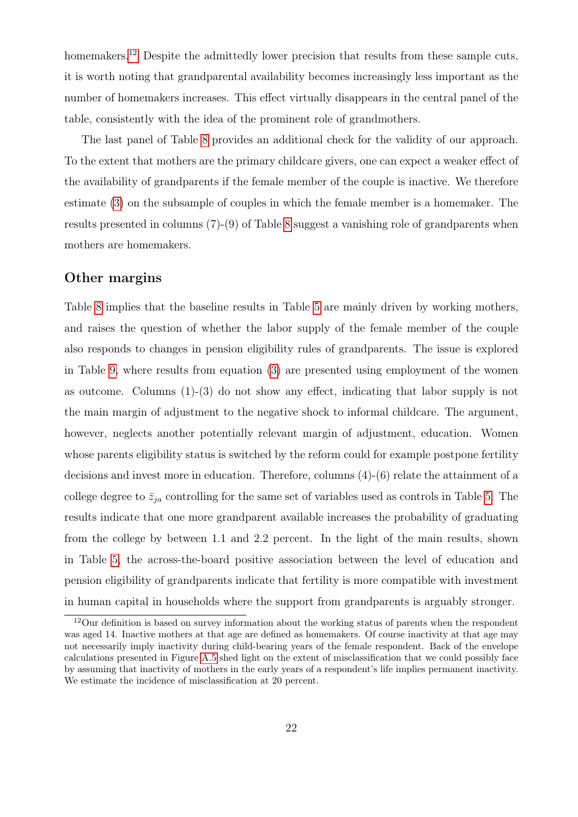homemakers.<sup>[12](#page-23-0)</sup> Despite the admittedly lower precision that results from these sample cuts, it is worth noting that grandparental availability becomes increasingly less important as the number of homemakers increases. This effect virtually disappears in the central panel of the table, consistently with the idea of the prominent role of grandmothers.

The last panel of Table [8](#page-36-0) provides an additional check for the validity of our approach. To the extent that mothers are the primary childcare givers, one can expect a weaker effect of the availability of grandparents if the female member of the couple is inactive. We therefore estimate [\(3\)](#page-16-0) on the subsample of couples in which the female member is a homemaker. The results presented in columns (7)-(9) of Table [8](#page-36-0) suggest a vanishing role of grandparents when mothers are homemakers.

#### Other margins

Table [8](#page-36-0) implies that the baseline results in Table [5](#page-33-0) are mainly driven by working mothers, and raises the question of whether the labor supply of the female member of the couple also responds to changes in pension eligibility rules of grandparents. The issue is explored in Table [9,](#page-37-0) where results from equation [\(3\)](#page-16-0) are presented using employment of the women as outcome. Columns (1)-(3) do not show any effect, indicating that labor supply is not the main margin of adjustment to the negative shock to informal childcare. The argument, however, neglects another potentially relevant margin of adjustment, education. Women whose parents eligibility status is switched by the reform could for example postpone fertility decisions and invest more in education. Therefore, columns (4)-(6) relate the attainment of a college degree to  $\bar{z}_{ja}$  controlling for the same set of variables used as controls in Table [5.](#page-33-0) The results indicate that one more grandparent available increases the probability of graduating from the college by between 1.1 and 2.2 percent. In the light of the main results, shown in Table [5,](#page-33-0) the across-the-board positive association between the level of education and pension eligibility of grandparents indicate that fertility is more compatible with investment in human capital in households where the support from grandparents is arguably stronger.

<span id="page-23-0"></span><sup>&</sup>lt;sup>12</sup>Our definition is based on survey information about the working status of parents when the respondent was aged 14. Inactive mothers at that age are defined as homemakers. Of course inactivity at that age may not necessarily imply inactivity during child-bearing years of the female respondent. Back of the envelope calculations presented in Figure [A.5](#page-47-0) shed light on the extent of misclassification that we could possibly face by assuming that inactivity of mothers in the early years of a respondent's life implies permanent inactivity. We estimate the incidence of misclassification at 20 percent.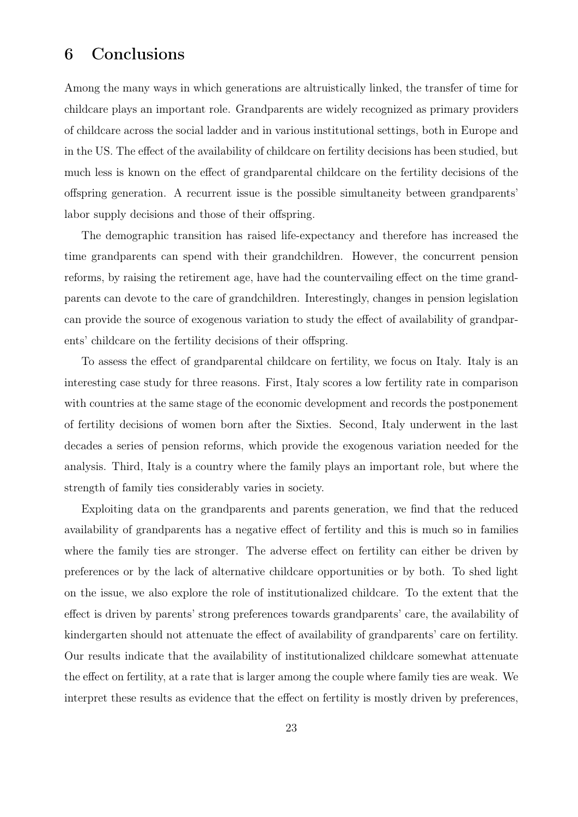## <span id="page-24-0"></span>6 Conclusions

Among the many ways in which generations are altruistically linked, the transfer of time for childcare plays an important role. Grandparents are widely recognized as primary providers of childcare across the social ladder and in various institutional settings, both in Europe and in the US. The effect of the availability of childcare on fertility decisions has been studied, but much less is known on the effect of grandparental childcare on the fertility decisions of the offspring generation. A recurrent issue is the possible simultaneity between grandparents' labor supply decisions and those of their offspring.

The demographic transition has raised life-expectancy and therefore has increased the time grandparents can spend with their grandchildren. However, the concurrent pension reforms, by raising the retirement age, have had the countervailing effect on the time grandparents can devote to the care of grandchildren. Interestingly, changes in pension legislation can provide the source of exogenous variation to study the effect of availability of grandparents' childcare on the fertility decisions of their offspring.

To assess the effect of grandparental childcare on fertility, we focus on Italy. Italy is an interesting case study for three reasons. First, Italy scores a low fertility rate in comparison with countries at the same stage of the economic development and records the postponement of fertility decisions of women born after the Sixties. Second, Italy underwent in the last decades a series of pension reforms, which provide the exogenous variation needed for the analysis. Third, Italy is a country where the family plays an important role, but where the strength of family ties considerably varies in society.

Exploiting data on the grandparents and parents generation, we find that the reduced availability of grandparents has a negative effect of fertility and this is much so in families where the family ties are stronger. The adverse effect on fertility can either be driven by preferences or by the lack of alternative childcare opportunities or by both. To shed light on the issue, we also explore the role of institutionalized childcare. To the extent that the effect is driven by parents' strong preferences towards grandparents' care, the availability of kindergarten should not attenuate the effect of availability of grandparents' care on fertility. Our results indicate that the availability of institutionalized childcare somewhat attenuate the effect on fertility, at a rate that is larger among the couple where family ties are weak. We interpret these results as evidence that the effect on fertility is mostly driven by preferences,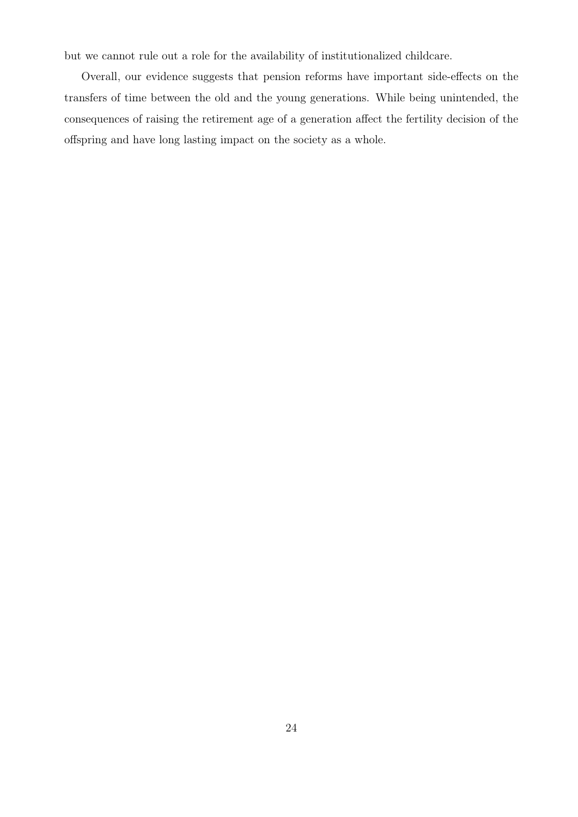but we cannot rule out a role for the availability of institutionalized childcare.

Overall, our evidence suggests that pension reforms have important side-effects on the transfers of time between the old and the young generations. While being unintended, the consequences of raising the retirement age of a generation affect the fertility decision of the offspring and have long lasting impact on the society as a whole.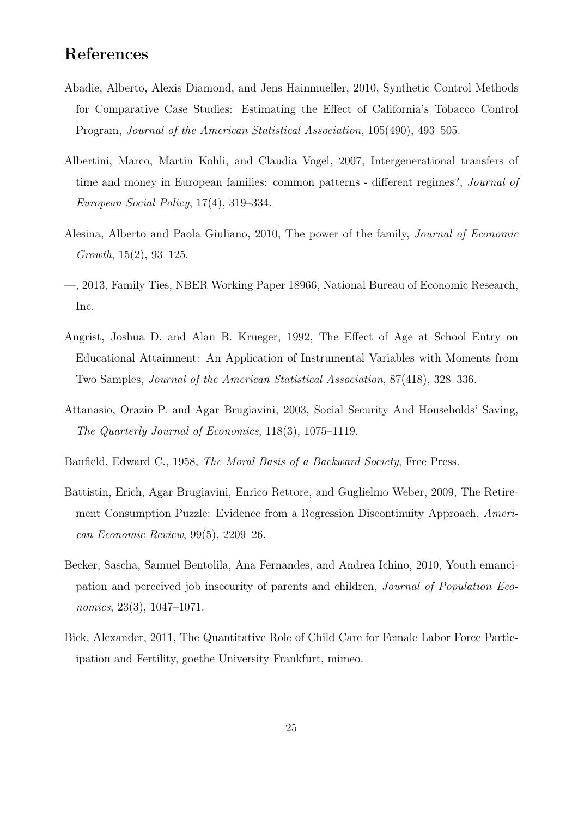## References

- <span id="page-26-9"></span>Abadie, Alberto, Alexis Diamond, and Jens Hainmueller, 2010, Synthetic Control Methods for Comparative Case Studies: Estimating the Effect of California's Tobacco Control Program, Journal of the American Statistical Association, 105(490), 493–505.
- <span id="page-26-2"></span>Albertini, Marco, Martin Kohli, and Claudia Vogel, 2007, Intergenerational transfers of time and money in European families: common patterns - different regimes?, Journal of European Social Policy, 17(4), 319–334.
- <span id="page-26-4"></span>Alesina, Alberto and Paola Giuliano, 2010, The power of the family, Journal of Economic Growth, 15(2), 93–125.
- <span id="page-26-8"></span>—, 2013, Family Ties, NBER Working Paper 18966, National Bureau of Economic Research, Inc.
- <span id="page-26-7"></span>Angrist, Joshua D. and Alan B. Krueger, 1992, The Effect of Age at School Entry on Educational Attainment: An Application of Instrumental Variables with Moments from Two Samples, Journal of the American Statistical Association, 87(418), 328–336.
- <span id="page-26-1"></span>Attanasio, Orazio P. and Agar Brugiavini, 2003, Social Security And Households' Saving, The Quarterly Journal of Economics, 118(3), 1075–1119.
- <span id="page-26-3"></span>Banfield, Edward C., 1958, The Moral Basis of a Backward Society, Free Press.
- <span id="page-26-0"></span>Battistin, Erich, Agar Brugiavini, Enrico Rettore, and Guglielmo Weber, 2009, The Retirement Consumption Puzzle: Evidence from a Regression Discontinuity Approach, American Economic Review, 99(5), 2209–26.
- <span id="page-26-5"></span>Becker, Sascha, Samuel Bentolila, Ana Fernandes, and Andrea Ichino, 2010, Youth emancipation and perceived job insecurity of parents and children, Journal of Population Economics, 23(3), 1047–1071.
- <span id="page-26-6"></span>Bick, Alexander, 2011, The Quantitative Role of Child Care for Female Labor Force Participation and Fertility, goethe University Frankfurt, mimeo.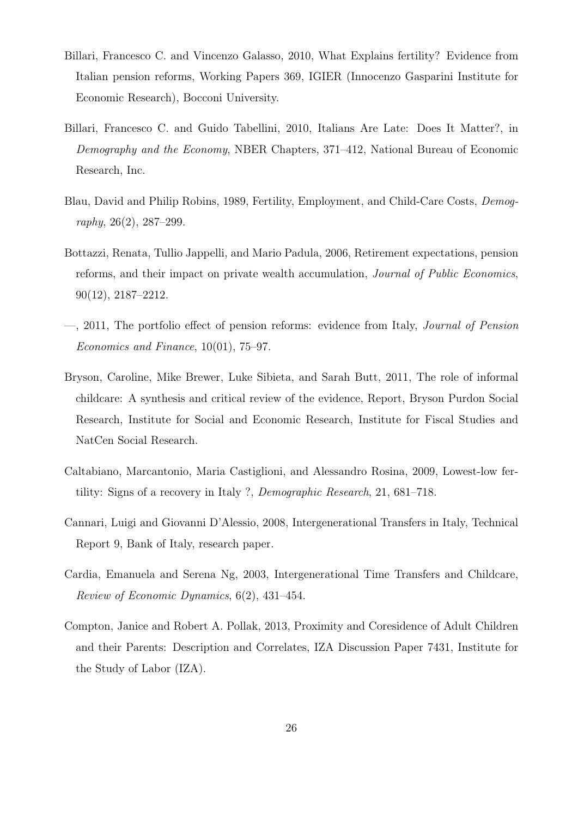- <span id="page-27-2"></span>Billari, Francesco C. and Vincenzo Galasso, 2010, What Explains fertility? Evidence from Italian pension reforms, Working Papers 369, IGIER (Innocenzo Gasparini Institute for Economic Research), Bocconi University.
- <span id="page-27-6"></span>Billari, Francesco C. and Guido Tabellini, 2010, Italians Are Late: Does It Matter?, in Demography and the Economy, NBER Chapters, 371–412, National Bureau of Economic Research, Inc.
- <span id="page-27-7"></span>Blau, David and Philip Robins, 1989, Fertility, Employment, and Child-Care Costs, Demography, 26(2), 287–299.
- <span id="page-27-0"></span>Bottazzi, Renata, Tullio Jappelli, and Mario Padula, 2006, Retirement expectations, pension reforms, and their impact on private wealth accumulation, Journal of Public Economics, 90(12), 2187–2212.
- <span id="page-27-1"></span>—, 2011, The portfolio effect of pension reforms: evidence from Italy, Journal of Pension Economics and Finance, 10(01), 75–97.
- <span id="page-27-4"></span>Bryson, Caroline, Mike Brewer, Luke Sibieta, and Sarah Butt, 2011, The role of informal childcare: A synthesis and critical review of the evidence, Report, Bryson Purdon Social Research, Institute for Social and Economic Research, Institute for Fiscal Studies and NatCen Social Research.
- <span id="page-27-9"></span>Caltabiano, Marcantonio, Maria Castiglioni, and Alessandro Rosina, 2009, Lowest-low fertility: Signs of a recovery in Italy ?, Demographic Research, 21, 681–718.
- <span id="page-27-8"></span>Cannari, Luigi and Giovanni D'Alessio, 2008, Intergenerational Transfers in Italy, Technical Report 9, Bank of Italy, research paper.
- <span id="page-27-3"></span>Cardia, Emanuela and Serena Ng, 2003, Intergenerational Time Transfers and Childcare, Review of Economic Dynamics, 6(2), 431–454.
- <span id="page-27-5"></span>Compton, Janice and Robert A. Pollak, 2013, Proximity and Coresidence of Adult Children and their Parents: Description and Correlates, IZA Discussion Paper 7431, Institute for the Study of Labor (IZA).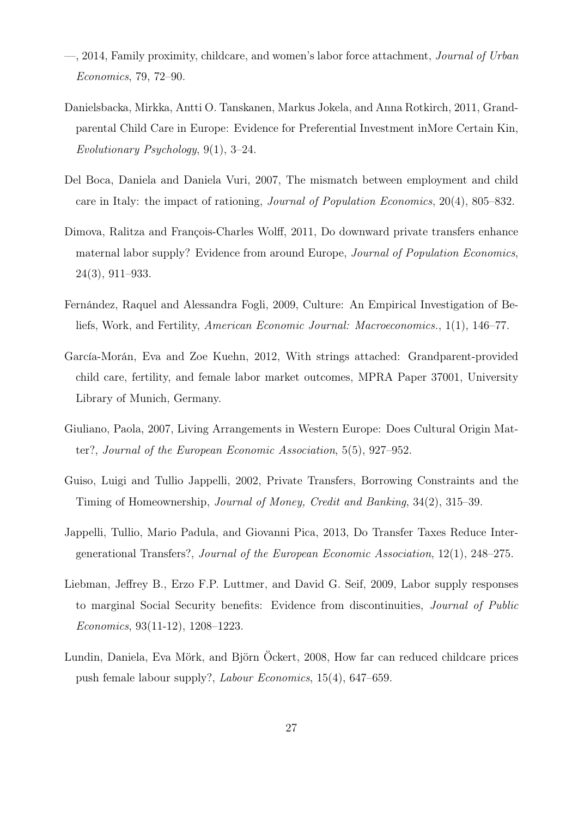- <span id="page-28-5"></span>—, 2014, Family proximity, childcare, and women's labor force attachment, Journal of Urban Economics, 79, 72–90.
- <span id="page-28-10"></span>Danielsbacka, Mirkka, Antti O. Tanskanen, Markus Jokela, and Anna Rotkirch, 2011, Grandparental Child Care in Europe: Evidence for Preferential Investment inMore Certain Kin, Evolutionary Psychology, 9(1), 3–24.
- <span id="page-28-3"></span>Del Boca, Daniela and Daniela Vuri, 2007, The mismatch between employment and child care in Italy: the impact of rationing, Journal of Population Economics, 20(4), 805–832.
- <span id="page-28-4"></span>Dimova, Ralitza and François-Charles Wolff, 2011, Do downward private transfers enhance maternal labor supply? Evidence from around Europe, Journal of Population Economics, 24(3), 911–933.
- <span id="page-28-9"></span>Fernández, Raquel and Alessandra Fogli, 2009, Culture: An Empirical Investigation of Beliefs, Work, and Fertility, American Economic Journal: Macroeconomics., 1(1), 146–77.
- <span id="page-28-1"></span>García-Morán, Eva and Zoe Kuehn, 2012, With strings attached: Grandparent-provided child care, fertility, and female labor market outcomes, MPRA Paper 37001, University Library of Munich, Germany.
- <span id="page-28-2"></span>Giuliano, Paola, 2007, Living Arrangements in Western Europe: Does Cultural Origin Matter?, Journal of the European Economic Association, 5(5), 927–952.
- <span id="page-28-6"></span>Guiso, Luigi and Tullio Jappelli, 2002, Private Transfers, Borrowing Constraints and the Timing of Homeownership, Journal of Money, Credit and Banking, 34(2), 315–39.
- <span id="page-28-7"></span>Jappelli, Tullio, Mario Padula, and Giovanni Pica, 2013, Do Transfer Taxes Reduce Intergenerational Transfers?, Journal of the European Economic Association, 12(1), 248–275.
- <span id="page-28-0"></span>Liebman, Jeffrey B., Erzo F.P. Luttmer, and David G. Seif, 2009, Labor supply responses to marginal Social Security benefits: Evidence from discontinuities, Journal of Public Economics, 93(11-12), 1208–1223.
- <span id="page-28-8"></span>Lundin, Daniela, Eva Mörk, and Björn Öckert, 2008, How far can reduced childcare prices push female labour supply?, Labour Economics, 15(4), 647–659.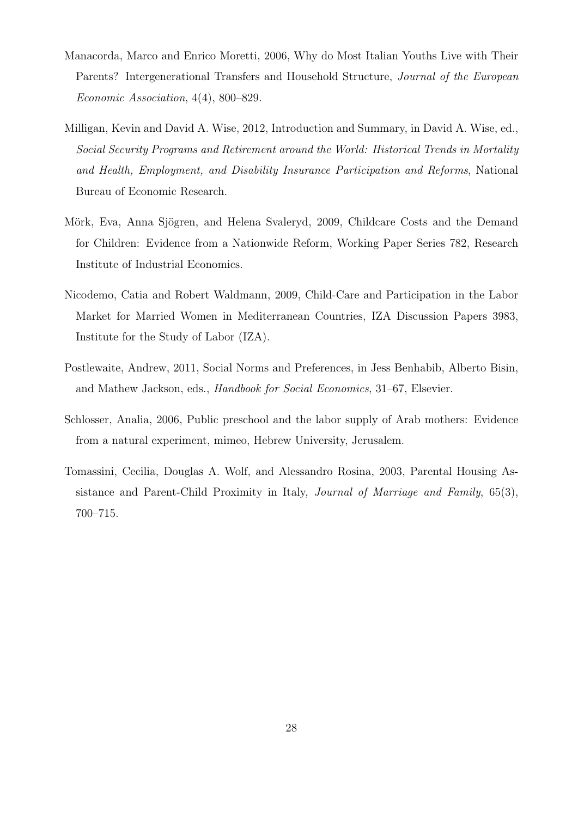- <span id="page-29-3"></span>Manacorda, Marco and Enrico Moretti, 2006, Why do Most Italian Youths Live with Their Parents? Intergenerational Transfers and Household Structure, Journal of the European Economic Association, 4(4), 800–829.
- <span id="page-29-0"></span>Milligan, Kevin and David A. Wise, 2012, Introduction and Summary, in David A. Wise, ed., Social Security Programs and Retirement around the World: Historical Trends in Mortality and Health, Employment, and Disability Insurance Participation and Reforms, National Bureau of Economic Research.
- <span id="page-29-2"></span>Mörk, Eva, Anna Sjögren, and Helena Svaleryd, 2009, Childcare Costs and the Demand for Children: Evidence from a Nationwide Reform, Working Paper Series 782, Research Institute of Industrial Economics.
- <span id="page-29-5"></span>Nicodemo, Catia and Robert Waldmann, 2009, Child-Care and Participation in the Labor Market for Married Women in Mediterranean Countries, IZA Discussion Papers 3983, Institute for the Study of Labor (IZA).
- <span id="page-29-6"></span>Postlewaite, Andrew, 2011, Social Norms and Preferences, in Jess Benhabib, Alberto Bisin, and Mathew Jackson, eds., Handbook for Social Economics, 31–67, Elsevier.
- <span id="page-29-1"></span>Schlosser, Analia, 2006, Public preschool and the labor supply of Arab mothers: Evidence from a natural experiment, mimeo, Hebrew University, Jerusalem.
- <span id="page-29-4"></span>Tomassini, Cecilia, Douglas A. Wolf, and Alessandro Rosina, 2003, Parental Housing Assistance and Parent-Child Proximity in Italy, Journal of Marriage and Family, 65(3), 700–715.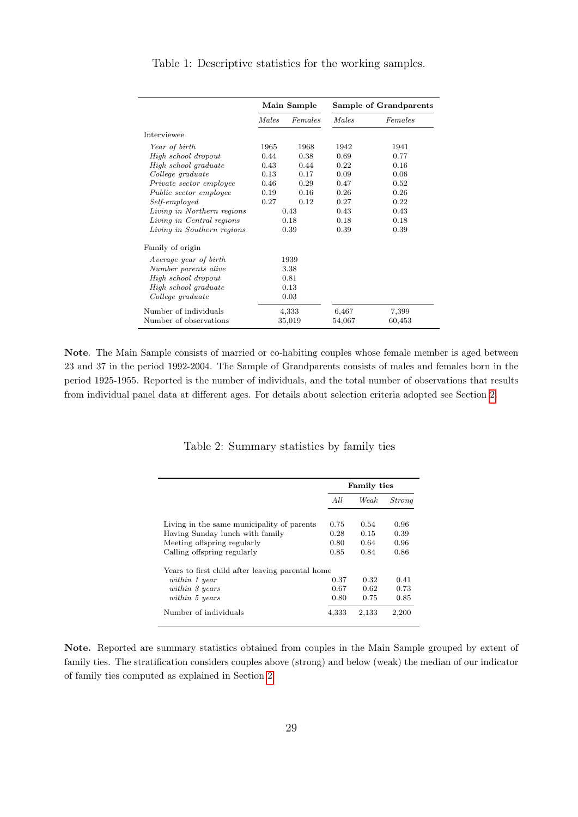|                            |       | Main Sample |        | Sample of Grandparents |
|----------------------------|-------|-------------|--------|------------------------|
|                            | Males | Females     | Males  | Females                |
| Interviewee                |       |             |        |                        |
| Year of birth              | 1965  | 1968        | 1942   | 1941                   |
| High school dropout        | 0.44  | 0.38        | 0.69   | 0.77                   |
| High school graduate       | 0.43  | 0.44        | 0.22   | 0.16                   |
| College graduate           | 0.13  | 0.17        | 0.09   | 0.06                   |
| Private sector employee    | 0.46  | 0.29        | 0.47   | 0.52                   |
| Public sector employee     | 0.19  | 0.16        | 0.26   | 0.26                   |
| Self-employed              | 0.27  | 0.12        | 0.27   | 0.22                   |
| Living in Northern regions |       | 0.43        | 0.43   | 0.43                   |
| Living in Central regions  |       | 0.18        | 0.18   | 0.18                   |
| Living in Southern regions |       | 0.39        | 0.39   | 0.39                   |
| Family of origin           |       |             |        |                        |
| Average year of birth      |       | 1939        |        |                        |
| Number parents alive       |       | 3.38        |        |                        |
| High school dropout        |       | 0.81        |        |                        |
| High school graduate       |       | 0.13        |        |                        |
| College graduate           |       | 0.03        |        |                        |
| Number of individuals      |       | 4,333       | 6,467  | 7,399                  |
| Number of observations     |       | 35,019      | 54,067 | 60,453                 |

<span id="page-30-0"></span>Table 1: Descriptive statistics for the working samples.

<span id="page-30-1"></span>Note. The Main Sample consists of married or co-habiting couples whose female member is aged between 23 and 37 in the period 1992-2004. The Sample of Grandparents consists of males and females born in the period 1925-1955. Reported is the number of individuals, and the total number of observations that results from individual panel data at different ages. For details about selection criteria adopted see Section [2.](#page-10-0)

|                                                  |       | <b>Family ties</b> |               |
|--------------------------------------------------|-------|--------------------|---------------|
|                                                  | All.  | Weak               | <i>Strong</i> |
| Living in the same municipality of parents       | 0.75  | 0.54               | 0.96          |
| Having Sunday lunch with family                  | 0.28  | 0.15               | 0.39          |
| Meeting offspring regularly                      | 0.80  | 0.64               | 0.96          |
| Calling offspring regularly                      | 0.85  | 0.84               | 0.86          |
| Years to first child after leaving parental home |       |                    |               |
| within 1 year                                    | 0.37  | 0.32               | 0.41          |
| within 3 years                                   | 0.67  | 0.62               | 0.73          |
| within 5 years                                   | 0.80  | 0.75               | 0.85          |
| Number of individuals                            | 4,333 | 2,133              | 2,200         |

Table 2: Summary statistics by family ties

Note. Reported are summary statistics obtained from couples in the Main Sample grouped by extent of family ties. The stratification considers couples above (strong) and below (weak) the median of our indicator of family ties computed as explained in Section [2.](#page-10-0)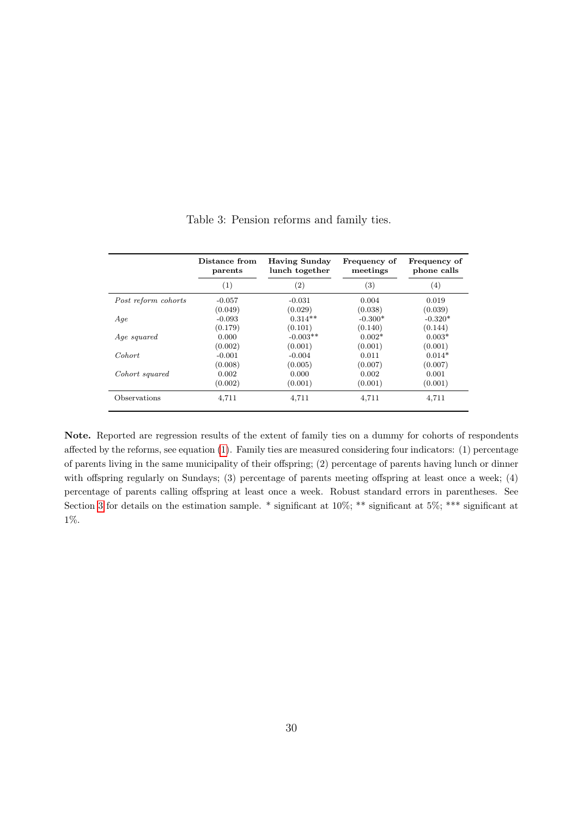<span id="page-31-0"></span>

|                     | Distance from<br>parents | <b>Having Sunday</b><br>lunch together | Frequency of<br>meetings | Frequency of<br>phone calls |
|---------------------|--------------------------|----------------------------------------|--------------------------|-----------------------------|
|                     | $\left( 1\right)$        | $\left( 2\right)$                      | $\left( 3\right)$        | (4)                         |
| Post reform cohorts | $-0.057$                 | $-0.031$                               | 0.004                    | 0.019                       |
|                     | (0.049)                  | (0.029)                                | (0.038)                  | (0.039)                     |
| Age                 | $-0.093$                 | $0.314**$                              | $-0.300*$                | $-0.320*$                   |
|                     | (0.179)                  | (0.101)                                | (0.140)                  | (0.144)                     |
| Age squared         | 0.000                    | $-0.003**$                             | $0.002*$                 | $0.003*$                    |
|                     | (0.002)                  | (0.001)                                | (0.001)                  | (0.001)                     |
| Cohort              | $-0.001$                 | $-0.004$                               | 0.011                    | $0.014*$                    |
|                     | (0.008)                  | (0.005)                                | (0.007)                  | (0.007)                     |
| Cohort squared      | 0.002                    | 0.000                                  | 0.002                    | 0.001                       |
|                     | (0.002)                  | (0.001)                                | (0.001)                  | (0.001)                     |
| Observations        | 4,711                    | 4,711                                  | 4,711                    | 4,711                       |

Table 3: Pension reforms and family ties.

Note. Reported are regression results of the extent of family ties on a dummy for cohorts of respondents affected by the reforms, see equation [\(1\)](#page-14-1). Family ties are measured considering four indicators: (1) percentage of parents living in the same municipality of their offspring; (2) percentage of parents having lunch or dinner with offspring regularly on Sundays; (3) percentage of parents meeting offspring at least once a week; (4) percentage of parents calling offspring at least once a week. Robust standard errors in parentheses. See Section [3](#page-12-0) for details on the estimation sample. \* significant at 10%; \*\* significant at 5%; \*\*\* significant at 1%.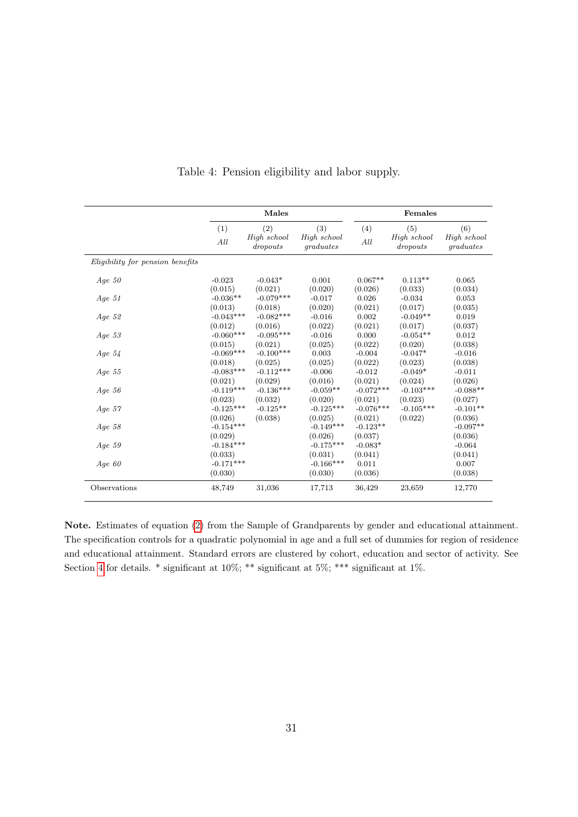<span id="page-32-0"></span>

|                                  |             | Males                   |                          |             | Females                 |                          |
|----------------------------------|-------------|-------------------------|--------------------------|-------------|-------------------------|--------------------------|
|                                  | (1)         | (2)                     | (3)                      | (4)         | (5)                     | (6)                      |
|                                  | All         | High school<br>dropouts | High school<br>graduates | All         | High school<br>dropouts | High school<br>graduates |
| Eligibility for pension benefits |             |                         |                          |             |                         |                          |
| Age $50$                         | $-0.023$    | $-0.043*$               | 0.001                    | $0.067**$   | $0.113**$               | 0.065                    |
|                                  | (0.015)     | (0.021)                 | (0.020)                  | (0.026)     | (0.033)                 | (0.034)                  |
| Age $51$                         | $-0.036**$  | $-0.079***$             | $-0.017$                 | 0.026       | $-0.034$                | 0.053                    |
|                                  | (0.013)     | (0.018)                 | (0.020)                  | (0.021)     | (0.017)                 | (0.035)                  |
| Age $52$                         | $-0.043***$ | $-0.082***$             | $-0.016$                 | 0.002       | $-0.049**$              | 0.019                    |
|                                  | (0.012)     | (0.016)                 | (0.022)                  | (0.021)     | (0.017)                 | (0.037)                  |
| Age $53$                         | $-0.060***$ | $-0.095***$             | $-0.016$                 | 0.000       | $-0.054**$              | 0.012                    |
|                                  | (0.015)     | (0.021)                 | (0.025)                  | (0.022)     | (0.020)                 | (0.038)                  |
| Age $54$                         | $-0.069***$ | $-0.100***$             | 0.003                    | $-0.004$    | $-0.047*$               | $-0.016$                 |
|                                  | (0.018)     | (0.025)                 | (0.025)                  | (0.022)     | (0.023)                 | (0.038)                  |
| Age $55$                         | $-0.083***$ | $-0.112***$             | $-0.006$                 | $-0.012$    | $-0.049*$               | $-0.011$                 |
|                                  | (0.021)     | (0.029)                 | (0.016)                  | (0.021)     | (0.024)                 | (0.026)                  |
| Age $56$                         | $-0.119***$ | $-0.136***$             | $-0.059**$               | $-0.072***$ | $-0.103***$             | $-0.088**$               |
|                                  | (0.023)     | (0.032)                 | (0.020)                  | (0.021)     | (0.023)                 | (0.027)                  |
| Age $57$                         | $-0.125***$ | $-0.125**$              | $-0.125***$              | $-0.076***$ | $-0.105***$             | $-0.101**$               |
|                                  | (0.026)     | (0.038)                 | (0.025)                  | (0.021)     | (0.022)                 | (0.036)                  |
| Age $58$                         | $-0.154***$ |                         | $-0.149***$              | $-0.123**$  |                         | $-0.097**$               |
|                                  | (0.029)     |                         | (0.026)                  | (0.037)     |                         | (0.036)                  |
| Age $59$                         | $-0.184***$ |                         | $-0.175***$              | $-0.083*$   |                         | $-0.064$                 |
|                                  | (0.033)     |                         | (0.031)                  | (0.041)     |                         | (0.041)                  |
| Age $60$                         | $-0.171***$ |                         | $-0.166***$              | 0.011       |                         | 0.007                    |
|                                  | (0.030)     |                         | (0.030)                  | (0.036)     |                         | (0.038)                  |
| Observations                     | 48,749      | 31,036                  | 17,713                   | 36,429      | 23,659                  | 12,770                   |

Table 4: Pension eligibility and labor supply.

Note. Estimates of equation [\(2\)](#page-15-1) from the Sample of Grandparents by gender and educational attainment. The specification controls for a quadratic polynomial in age and a full set of dummies for region of residence and educational attainment. Standard errors are clustered by cohort, education and sector of activity. See Section [4](#page-15-0) for details.  $*$  significant at 10%;  $**$  significant at 5%;  $***$  significant at 1%.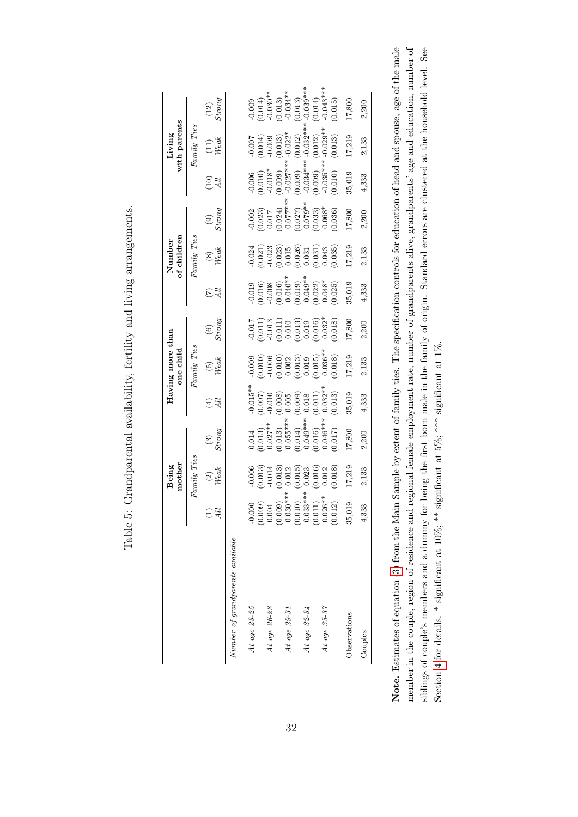<span id="page-33-0"></span>

|                                        |                                                                                                                   | mother<br>Being                                                                                                                                                                                                                                                                                                 |                                                                                                                                                                                         |                                                                                                                                                                                                                                                                                             | Having more than<br>one child                                                                                                                                                                                                                                                                       |                                                                                                                                                                                                                                                                                                                                   |                                                                                                                                                                       | of children<br>Number                                                                                                                               |                                                                                                                                                                                                                                                                                                |                                                                                                                                                                                                                                                                                 | with parents<br>Living                                                                                                                                                                                                                                                                                                          |                                                                                                                                                                                                                                                                                                                                   |
|----------------------------------------|-------------------------------------------------------------------------------------------------------------------|-----------------------------------------------------------------------------------------------------------------------------------------------------------------------------------------------------------------------------------------------------------------------------------------------------------------|-----------------------------------------------------------------------------------------------------------------------------------------------------------------------------------------|---------------------------------------------------------------------------------------------------------------------------------------------------------------------------------------------------------------------------------------------------------------------------------------------|-----------------------------------------------------------------------------------------------------------------------------------------------------------------------------------------------------------------------------------------------------------------------------------------------------|-----------------------------------------------------------------------------------------------------------------------------------------------------------------------------------------------------------------------------------------------------------------------------------------------------------------------------------|-----------------------------------------------------------------------------------------------------------------------------------------------------------------------|-----------------------------------------------------------------------------------------------------------------------------------------------------|------------------------------------------------------------------------------------------------------------------------------------------------------------------------------------------------------------------------------------------------------------------------------------------------|---------------------------------------------------------------------------------------------------------------------------------------------------------------------------------------------------------------------------------------------------------------------------------|---------------------------------------------------------------------------------------------------------------------------------------------------------------------------------------------------------------------------------------------------------------------------------------------------------------------------------|-----------------------------------------------------------------------------------------------------------------------------------------------------------------------------------------------------------------------------------------------------------------------------------------------------------------------------------|
|                                        |                                                                                                                   | $Fannily\ Ties$                                                                                                                                                                                                                                                                                                 |                                                                                                                                                                                         |                                                                                                                                                                                                                                                                                             | $Family\ Ties$                                                                                                                                                                                                                                                                                      |                                                                                                                                                                                                                                                                                                                                   |                                                                                                                                                                       | Family Ties                                                                                                                                         |                                                                                                                                                                                                                                                                                                |                                                                                                                                                                                                                                                                                 | $Family\ Ties$                                                                                                                                                                                                                                                                                                                  |                                                                                                                                                                                                                                                                                                                                   |
|                                        | Я                                                                                                                 | $\overset{(2)}{W}{}_{eak}$                                                                                                                                                                                                                                                                                      | $\frac{3}{Strong}$                                                                                                                                                                      | $\tilde{A}$<br>₩,                                                                                                                                                                                                                                                                           | $\frac{(5)}{Weak}$                                                                                                                                                                                                                                                                                  | $\frac{(6)}{Strong}$                                                                                                                                                                                                                                                                                                              | All                                                                                                                                                                   | $\begin{array}{c} (8) \\ Weak \end{array}$                                                                                                          | $\begin{array}{c} (9) \\ (6) \\ (7) \end{array}$                                                                                                                                                                                                                                               | $\widetilde{\Xi} \widetilde{z}$                                                                                                                                                                                                                                                 | $(L1)$<br>Weak                                                                                                                                                                                                                                                                                                                  | $^{(12)}_{Strong}$                                                                                                                                                                                                                                                                                                                |
| $Number\ of\ grand parents\ available$ |                                                                                                                   |                                                                                                                                                                                                                                                                                                                 |                                                                                                                                                                                         |                                                                                                                                                                                                                                                                                             |                                                                                                                                                                                                                                                                                                     |                                                                                                                                                                                                                                                                                                                                   |                                                                                                                                                                       |                                                                                                                                                     |                                                                                                                                                                                                                                                                                                |                                                                                                                                                                                                                                                                                 |                                                                                                                                                                                                                                                                                                                                 |                                                                                                                                                                                                                                                                                                                                   |
| At age $23-25$                         |                                                                                                                   |                                                                                                                                                                                                                                                                                                                 |                                                                                                                                                                                         |                                                                                                                                                                                                                                                                                             |                                                                                                                                                                                                                                                                                                     |                                                                                                                                                                                                                                                                                                                                   |                                                                                                                                                                       |                                                                                                                                                     |                                                                                                                                                                                                                                                                                                |                                                                                                                                                                                                                                                                                 |                                                                                                                                                                                                                                                                                                                                 |                                                                                                                                                                                                                                                                                                                                   |
|                                        |                                                                                                                   |                                                                                                                                                                                                                                                                                                                 |                                                                                                                                                                                         |                                                                                                                                                                                                                                                                                             |                                                                                                                                                                                                                                                                                                     |                                                                                                                                                                                                                                                                                                                                   |                                                                                                                                                                       |                                                                                                                                                     |                                                                                                                                                                                                                                                                                                |                                                                                                                                                                                                                                                                                 |                                                                                                                                                                                                                                                                                                                                 | $\begin{array}{l} 0.009 \\ -0.014) \\ -0.030^{**} \\ -0.030^{**} \\ -0.031^{**} \\ -0.031^{**} \\ -0.030^{**} \\ -0.030^{**} \\ -0.030^{**} \\ -0.030^{**} \\ -0.030^{**} \\ -0.014) \\ -0.0101 \\ -0.0101 \\ -0.0101 \\ -0.0101 \\ -0.0101 \\ -0.0101 \\ -0.0101 \\ -0.0101 \\ -0.0101 \\ -0.0101 \\ -0.0101 \\ -0.0101 \\ -0.0$ |
| At age 26-28                           |                                                                                                                   |                                                                                                                                                                                                                                                                                                                 |                                                                                                                                                                                         |                                                                                                                                                                                                                                                                                             |                                                                                                                                                                                                                                                                                                     |                                                                                                                                                                                                                                                                                                                                   |                                                                                                                                                                       |                                                                                                                                                     |                                                                                                                                                                                                                                                                                                |                                                                                                                                                                                                                                                                                 |                                                                                                                                                                                                                                                                                                                                 |                                                                                                                                                                                                                                                                                                                                   |
|                                        |                                                                                                                   |                                                                                                                                                                                                                                                                                                                 |                                                                                                                                                                                         |                                                                                                                                                                                                                                                                                             |                                                                                                                                                                                                                                                                                                     |                                                                                                                                                                                                                                                                                                                                   |                                                                                                                                                                       |                                                                                                                                                     |                                                                                                                                                                                                                                                                                                |                                                                                                                                                                                                                                                                                 |                                                                                                                                                                                                                                                                                                                                 |                                                                                                                                                                                                                                                                                                                                   |
| At $age 29-31$                         |                                                                                                                   |                                                                                                                                                                                                                                                                                                                 |                                                                                                                                                                                         |                                                                                                                                                                                                                                                                                             |                                                                                                                                                                                                                                                                                                     |                                                                                                                                                                                                                                                                                                                                   |                                                                                                                                                                       |                                                                                                                                                     |                                                                                                                                                                                                                                                                                                |                                                                                                                                                                                                                                                                                 |                                                                                                                                                                                                                                                                                                                                 |                                                                                                                                                                                                                                                                                                                                   |
|                                        |                                                                                                                   |                                                                                                                                                                                                                                                                                                                 |                                                                                                                                                                                         |                                                                                                                                                                                                                                                                                             |                                                                                                                                                                                                                                                                                                     |                                                                                                                                                                                                                                                                                                                                   |                                                                                                                                                                       |                                                                                                                                                     |                                                                                                                                                                                                                                                                                                |                                                                                                                                                                                                                                                                                 |                                                                                                                                                                                                                                                                                                                                 |                                                                                                                                                                                                                                                                                                                                   |
| At age $32-34$                         |                                                                                                                   |                                                                                                                                                                                                                                                                                                                 |                                                                                                                                                                                         |                                                                                                                                                                                                                                                                                             |                                                                                                                                                                                                                                                                                                     |                                                                                                                                                                                                                                                                                                                                   |                                                                                                                                                                       |                                                                                                                                                     |                                                                                                                                                                                                                                                                                                |                                                                                                                                                                                                                                                                                 |                                                                                                                                                                                                                                                                                                                                 |                                                                                                                                                                                                                                                                                                                                   |
|                                        |                                                                                                                   |                                                                                                                                                                                                                                                                                                                 |                                                                                                                                                                                         |                                                                                                                                                                                                                                                                                             |                                                                                                                                                                                                                                                                                                     |                                                                                                                                                                                                                                                                                                                                   |                                                                                                                                                                       |                                                                                                                                                     |                                                                                                                                                                                                                                                                                                |                                                                                                                                                                                                                                                                                 |                                                                                                                                                                                                                                                                                                                                 |                                                                                                                                                                                                                                                                                                                                   |
| At age $35-37$                         | $-0.000$<br>$(0.000)$<br>$(0.000)$<br>$(0.000)$<br>$(0.000)$<br>$(0.010)$<br>$(0.011)$<br>$(0.011)$<br>$(0.026**$ | $\begin{array}{l} 0.006 \\[-4pt] 0.013) \\[-4pt] 0.013) \\[-4pt] 0.013) \\[-4pt] 0.012 \\[-4pt] 0.015) \\[-4pt] 0.015) \\[-4pt] 0.013) \\[-4pt] 0.013) \\[-4pt] 0.013) \\[-4pt] 0.013) \\[-4pt] 0.013) \\[-4pt] 0.013) \\[-4pt] 0.013) \\[-4pt] 0.013) \\[-4pt] 0.013) \\[-4pt] 0.013) \\[-4pt] 0.013) \\[-4pt$ | $\begin{array}{l} 0.014 \\ (0.013) \\ (0.027^{***} \\ (0.013) \\ (0.055^{***} \\ (0.014) \\ (0.040^{***} \\ (0.016) \\ (0.016) \\ (0.016) \\ (0.016) \\ (0.016) \\ (0.017) \end{array}$ | $\begin{array}{l} \text{-0.015} \\ \text{-0.010} \\ \text{-0.010} \\ \text{-0.010} \\ \text{-0.008)} \\ \text{-0.008} \\ \text{-0.009} \\ \text{-0.009} \\ \text{-0.009} \\ \text{-0.001} \\ \text{-0.001} \\ \text{-0.011} \\ \text{-0.013} \\ \text{-0.013} \\ \text{-0.013} \end{array}$ | $\begin{array}{l} 0.009 \\ 0.010 \\ 0.006 \\ 0.006 \\ 0.000 \\ 0.003 \\ 0.010 \\ 0.013 \\ 0.010 \\ 0.010 \\ 0.013 \\ 0.003 \\ 0.018 \\ 0.018 \\ 0.018 \\ 0.018 \\ 0.018 \\ 0.018 \\ 0.018 \\ 0.018 \\ 0.018 \\ 0.018 \\ 0.018 \\ 0.018 \\ 0.018 \\ 0.018 \\ 0.018 \\ 0.018 \\ 0.018 \\ 0.018 \\ 0.$ | $\begin{array}{l} -0.017 \\ -0.011) \\ -0.013 \\ -0.010 \\ -0.010 \\ 0.010 \\ -0.013 \\ -0.013 \\ -0.013 \\ -0.013 \\ -0.018 \\ -0.018 \\ -0.018 \\ -0.018 \\ -0.018 \\ -0.018 \\ -0.018 \\ -0.018 \\ -0.018 \\ -0.018 \\ -0.018 \\ -0.018 \\ -0.018 \\ -0.018 \\ -0.018 \\ -0.018 \\ -0.018 \\ -0.018 \\ -0.018 \\ -0.018 \\ -0$ | $\begin{array}{l} -0.019 \\ -0.016) \\ -0.008 \\ -0.016) \\ 0.0101 \\ -0.0191 \\ -0.0191 \\ -0.0191 \\ -0.0192 \\ -0.0193 \\ -0.021 \\ -0.025) \\ 0.025) \end{array}$ | $\begin{array}{l} -0.024 \\ -0.021 \\ -0.023 \\ -0.023 \\ -0.015 \\ -0.015 \\ -0.031 \\ -0.031 \\ -0.031 \\ -0.035 \\ -0.035 \\ -0.035 \end{array}$ | $\begin{array}{l} 0.002 \\ -0.002 \\ 0.017 \\ 0.017 \\ 0.007 \\ 0.007 \\ 0.007 \\ 0.0000 \\ 0.0000 \\ 0.0000 \\ 0.0000 \\ 0.0000 \\ 0.0000 \\ 0.0000 \\ 0.0000 \\ 0.0000 \\ 0.0000 \\ 0.0000 \\ 0.0000 \\ 0.0000 \\ 0.0000 \\ 0.0000 \\ 0.0000 \\ 0.0000 \\ 0.0000 \\ 0.0000 \\ 0.0000 \\ 0.0$ | $\begin{bmatrix} 0.006 & 0.006 & 0.000 & 0.000 & 0.010 \\ 0.010 & 0.013 & 0.013^* & 0.000 & 0.0000 & 0.0000 \\ 0.000 & 0.000 & 0.0000 & 0.0000 & 0.0000 & 0.0000 \\ 0.0000 & 0.0000 & 0.0000 & 0.0000 & 0.0000 \\ 0 & 0 & 0 & 0 & 0 & 0.000 & 0.000 \\ 0 & 0 & 0 & 0 & 0 & 0 &$ |                                                                                                                                                                                                                                                                                                                                 |                                                                                                                                                                                                                                                                                                                                   |
|                                        |                                                                                                                   |                                                                                                                                                                                                                                                                                                                 |                                                                                                                                                                                         |                                                                                                                                                                                                                                                                                             |                                                                                                                                                                                                                                                                                                     |                                                                                                                                                                                                                                                                                                                                   |                                                                                                                                                                       |                                                                                                                                                     |                                                                                                                                                                                                                                                                                                |                                                                                                                                                                                                                                                                                 | $\begin{bmatrix} 0.007 \\ 0.014 \\ 0.013 \\ 0.009 \\ -0.003 \\ 0.012 \end{bmatrix}^{*} \begin{bmatrix} 0.014 \\ 0.013 \\ 0.027 \\ -0.0327 \\ -0.0328 \\ -0.0039 \\ -0.0039 \\ -0.0039 \\ -0.0039 \\ -0.0039 \\ -0.0039 \\ -0.0039 \\ -0.0039 \\ -0.0039 \\ -0.0039 \\ -0.0039 \\ -0.0039 \\ -0.0039 \\ -0.0039 \\ -0.0039 \\ -$ |                                                                                                                                                                                                                                                                                                                                   |
| Observations                           | 35,019                                                                                                            | 17,219                                                                                                                                                                                                                                                                                                          | 17,800                                                                                                                                                                                  | 35,019                                                                                                                                                                                                                                                                                      | 17,219                                                                                                                                                                                                                                                                                              | 17,800                                                                                                                                                                                                                                                                                                                            | 35,019                                                                                                                                                                | 17,219                                                                                                                                              | 17,800                                                                                                                                                                                                                                                                                         | 35,019                                                                                                                                                                                                                                                                          | 17,219                                                                                                                                                                                                                                                                                                                          | 17,800                                                                                                                                                                                                                                                                                                                            |
| Couples                                | 4,333                                                                                                             | 2,133                                                                                                                                                                                                                                                                                                           | 2,200                                                                                                                                                                                   | 4,333                                                                                                                                                                                                                                                                                       | 2,133                                                                                                                                                                                                                                                                                               | 2,200                                                                                                                                                                                                                                                                                                                             | 4,333                                                                                                                                                                 | 2,133                                                                                                                                               | 2,200                                                                                                                                                                                                                                                                                          | 4,333                                                                                                                                                                                                                                                                           | 2,133                                                                                                                                                                                                                                                                                                                           | 2,200                                                                                                                                                                                                                                                                                                                             |

Table 5: Grandparental availability, fertility and living arrangements. Table 5: Grandparental availability, fertility and living arrangements.

32

Note. Estimates of equation (3) from the Main Sample by extent of family ties. The specification controls for education of head and spouse, age of the male member in the couple, region of residence and regional female employment rate, number of grandparents alive, grandparents' age and education, number of siblings of couple's members and a dummy for being the first born male in the family of origin. Standard errors are clustered at the household level. See Note. Estimates of equation [\(3\)](#page-16-0) from the Main Sample by extent of family ties. The specification controls for education of head and spouse, age of the male member in the couple, region of residence and regional female employment rate, number of grandparents alive, grandparents' age and education, number of siblings of couple's members and a dummy for being the first born male in the family of origin. Standard errors are clustered at the household level. See Section 4 for details. \* significant at 10%; \*\* significant at 5%; \*\*\* significant at 1%. Section [4](#page-15-0) for details. \* significant at 10%; \*\* significant at 5%; \*\*\* significant at 1%.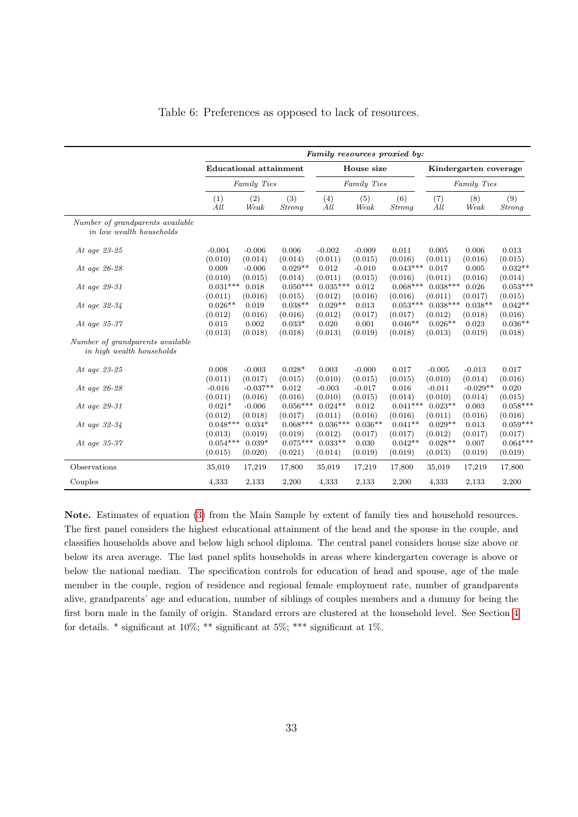<span id="page-34-0"></span>

|                                                               |                                  |                                |                                  |                                 |                             | Family resources proxied by:    |                                 |                             |                                  |
|---------------------------------------------------------------|----------------------------------|--------------------------------|----------------------------------|---------------------------------|-----------------------------|---------------------------------|---------------------------------|-----------------------------|----------------------------------|
|                                                               | <b>Educational attainment</b>    |                                |                                  |                                 | House size                  |                                 |                                 | Kindergarten coverage       |                                  |
|                                                               |                                  | Family Ties                    |                                  |                                 | Family Ties                 |                                 |                                 | Family Ties                 |                                  |
|                                                               | (1)<br>All                       | (2)<br>Weak                    | (3)<br><b>Strong</b>             | (4)<br>All                      | (5)<br>Weak                 | (6)<br><b>Strong</b>            | (7)<br>All                      | (8)<br>Weak                 | (9)<br><b>Strong</b>             |
| Number of grandparents available<br>in low wealth households  |                                  |                                |                                  |                                 |                             |                                 |                                 |                             |                                  |
| At age $23-25$                                                | $-0.004$                         | $-0.006$                       | 0.006                            | $-0.002$                        | $-0.009$                    | 0.011                           | 0.005                           | 0.006                       | 0.013                            |
| At age 26-28                                                  | (0.010)<br>0.009                 | (0.014)<br>$-0.006$            | (0.014)<br>$0.029**$             | (0.011)<br>0.012                | (0.015)<br>$-0.010$         | (0.016)<br>$0.043***$           | (0.011)<br>0.017                | (0.016)<br>0.005            | (0.015)<br>$0.032**$             |
| At age 29-31                                                  | (0.010)<br>$0.031***$            | (0.015)<br>0.018               | (0.014)<br>$0.050***$            | (0.011)<br>$0.035***$           | (0.015)<br>0.012            | (0.016)<br>$0.068***$           | (0.011)<br>$0.038***$           | (0.016)<br>0.026            | (0.014)<br>$0.053***$            |
| At age $32-34$                                                | (0.011)<br>$0.026**$             | (0.016)<br>0.019               | (0.015)<br>$0.038**$             | (0.012)<br>$0.029**$            | (0.016)<br>0.013            | (0.016)<br>$0.053***$           | (0.011)<br>$0.038***$           | (0.017)<br>$0.038**$        | (0.015)<br>$0.042**$             |
| At age $35-37$                                                | (0.012)<br>0.015<br>(0.013)      | (0.016)<br>0.002<br>(0.018)    | (0.016)<br>$0.033*$<br>(0.018)   | (0.012)<br>0.020                | (0.017)<br>0.001<br>(0.019) | (0.017)<br>$0.046**$<br>(0.018) | (0.012)<br>$0.026**$<br>(0.013) | (0.018)<br>0.023<br>(0.019) | (0.016)<br>$0.036**$<br>(0.018)  |
| Number of grandparents available<br>in high wealth households |                                  |                                |                                  | (0.013)                         |                             |                                 |                                 |                             |                                  |
| At age 23-25                                                  | 0.008                            | $-0.003$                       | $0.028*$                         | 0.003                           | $-0.000$                    | 0.017                           | $-0.005$                        | $-0.013$                    | 0.017                            |
| At age 26-28                                                  | (0.011)<br>$-0.016$              | (0.017)<br>$-0.037**$          | (0.015)<br>0.012                 | (0.010)<br>$-0.003$             | (0.015)<br>$-0.017$         | (0.015)<br>0.016                | (0.010)<br>$-0.011$             | (0.014)<br>$-0.029**$       | (0.016)<br>0.020                 |
| At age $29-31$                                                | (0.011)<br>$0.021*$              | (0.016)<br>$-0.006$            | (0.016)<br>$0.056***$            | (0.010)<br>$0.024**$            | (0.015)<br>0.012            | (0.014)<br>$0.041***$           | (0.010)<br>$0.023**$            | (0.014)<br>0.003            | (0.015)<br>$0.058***$            |
| At age $32-34$                                                | (0.012)<br>$0.048***$            | (0.018)<br>$0.034*$            | (0.017)<br>$0.068***$            | (0.011)<br>$0.036***$           | (0.016)<br>$0.036**$        | (0.016)<br>$0.041**$            | (0.011)<br>$0.029**$            | (0.016)<br>0.013            | (0.016)<br>$0.059***$            |
| At age 35-37                                                  | (0.013)<br>$0.054***$<br>(0.015) | (0.019)<br>$0.039*$<br>(0.020) | (0.019)<br>$0.075***$<br>(0.021) | (0.012)<br>$0.033**$<br>(0.014) | (0.017)<br>0.030<br>(0.019) | (0.017)<br>$0.042**$<br>(0.019) | (0.012)<br>$0.028**$<br>(0.013) | (0.017)<br>0.007<br>(0.019) | (0.017)<br>$0.064***$<br>(0.019) |
| Observations                                                  | 35,019                           | 17,219                         | 17,800                           | 35,019                          | 17,219                      | 17,800                          | 35,019                          | 17,219                      | 17,800                           |
| Couples                                                       | 4,333                            | 2,133                          | 2,200                            | 4,333                           | 2,133                       | 2,200                           | 4,333                           | 2,133                       | 2,200                            |

Table 6: Preferences as opposed to lack of resources.

Note. Estimates of equation [\(3\)](#page-16-0) from the Main Sample by extent of family ties and household resources. The first panel considers the highest educational attainment of the head and the spouse in the couple, and classifies households above and below high school diploma. The central panel considers house size above or below its area average. The last panel splits households in areas where kindergarten coverage is above or below the national median. The specification controls for education of head and spouse, age of the male member in the couple, region of residence and regional female employment rate, number of grandparents alive, grandparents' age and education, number of siblings of couples members and a dummy for being the first born male in the family of origin. Standard errors are clustered at the household level. See Section [4](#page-15-0) for details.  $*$  significant at 10%;  $**$  significant at 5%;  $***$  significant at 1%.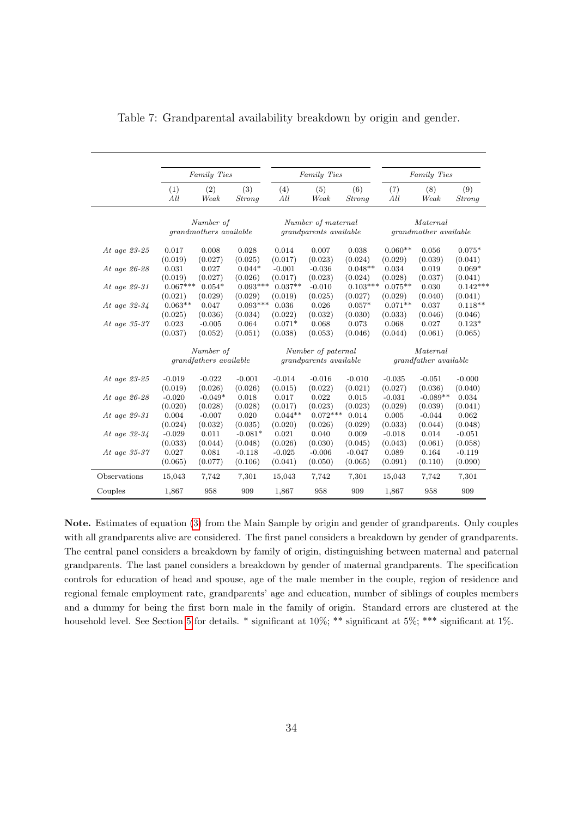|                |            | Family Ties                                |                      |            | Family Ties                                         |               |            | Family Ties                              |                      |
|----------------|------------|--------------------------------------------|----------------------|------------|-----------------------------------------------------|---------------|------------|------------------------------------------|----------------------|
|                | (1)<br>All | (2)<br>Weak                                | (3)<br><i>Strong</i> | (4)<br>All | (5)<br>Weak                                         | (6)<br>Strong | (7)<br>All | (8)<br>Weak                              | (9)<br><i>Strong</i> |
|                |            | Number of<br><i>grandmothers available</i> |                      |            | Number of maternal<br><i>grandparents available</i> |               |            | Maternal<br><i>grandmother available</i> |                      |
|                |            |                                            |                      |            |                                                     |               |            |                                          |                      |
| At age 23-25   | 0.017      | 0.008                                      | 0.028                | 0.014      | 0.007                                               | 0.038         | $0.060**$  | 0.056                                    | $0.075*$             |
|                | (0.019)    | (0.027)                                    | (0.025)              | (0.017)    | (0.023)                                             | (0.024)       | (0.029)    | (0.039)                                  | (0.041)              |
| At age $26-28$ | 0.031      | 0.027                                      | $0.044*$             | $-0.001$   | $-0.036$                                            | $0.048**$     | 0.034      | 0.019                                    | $0.069*$             |
|                | (0.019)    | (0.027)                                    | (0.026)              | (0.017)    | (0.023)                                             | (0.024)       | (0.028)    | (0.037)                                  | (0.041)              |
| At age 29-31   | $0.067***$ | $0.054*$                                   | $0.093***$           | $0.037**$  | $-0.010$                                            | $0.103***$    | $0.075**$  | 0.030                                    | $0.142***$           |
|                | (0.021)    | (0.029)                                    | (0.029)              | (0.019)    | (0.025)                                             | (0.027)       | (0.029)    | (0.040)                                  | (0.041)              |
| At age 32-34   | $0.063**$  | 0.047                                      | $0.093***$           | 0.036      | 0.026                                               | $0.057*$      | $0.071**$  | 0.037                                    | $0.118**$            |
|                | (0.025)    | (0.036)                                    | (0.034)              | (0.022)    | (0.032)                                             | (0.030)       | (0.033)    | (0.046)                                  | (0.046)              |
| At age $35-37$ | 0.023      | $-0.005$                                   | 0.064                | $0.071*$   | 0.068                                               | 0.073         | 0.068      | 0.027                                    | $0.123*$             |
|                | (0.037)    | (0.052)                                    | (0.051)              | (0.038)    | (0.053)                                             | (0.046)       | (0.044)    | (0.061)                                  | (0.065)              |
|                |            | Number of                                  |                      |            | Number of paternal                                  |               |            | Maternal                                 |                      |
|                |            | <i>grandfathers available</i>              |                      |            | <i>grandparents available</i>                       |               |            | <i>grandfather available</i>             |                      |
| At age 23-25   | $-0.019$   | $-0.022$                                   | $-0.001$             | $-0.014$   | $-0.016$                                            | $-0.010$      | $-0.035$   | $-0.051$                                 | $-0.000$             |
|                | (0.019)    | (0.026)                                    | (0.026)              | (0.015)    | (0.022)                                             | (0.021)       | (0.027)    | (0.036)                                  | (0.040)              |
| At age $26-28$ | $-0.020$   | $-0.049*$                                  | 0.018                | 0.017      | 0.022                                               | 0.015         | $-0.031$   | $-0.089**$                               | 0.034                |
|                | (0.020)    | (0.028)                                    | (0.028)              | (0.017)    | (0.023)                                             | (0.023)       | (0.029)    | (0.039)                                  | (0.041)              |
| At age 29-31   | 0.004      | $-0.007$                                   | 0.020                | $0.044**$  | $0.072***$                                          | 0.014         | 0.005      | $-0.044$                                 | 0.062                |
|                | (0.024)    | (0.032)                                    | (0.035)              | (0.020)    | (0.026)                                             | (0.029)       | (0.033)    | (0.044)                                  | (0.048)              |
| At age 32-34   | $-0.029$   | 0.011                                      | $-0.081*$            | 0.021      | 0.040                                               | 0.009         | $-0.018$   | 0.014                                    | $-0.051$             |
|                | (0.033)    | (0.044)                                    | (0.048)              | (0.026)    | (0.030)                                             | (0.045)       | (0.043)    | (0.061)                                  | (0.058)              |
| At age $35-37$ | 0.027      | 0.081                                      | $-0.118$             | $-0.025$   | $-0.006$                                            | $-0.047$      | 0.089      | 0.164                                    | $-0.119$             |
|                | (0.065)    | (0.077)                                    | (0.106)              | (0.041)    | (0.050)                                             | (0.065)       | (0.091)    | (0.110)                                  | (0.090)              |
| Observations   | 15,043     | 7,742                                      | 7,301                | 15,043     | 7,742                                               | 7,301         | 15,043     | 7,742                                    | 7,301                |
| Couples        | 1,867      | 958                                        | 909                  | 1,867      | 958                                                 | 909           | 1,867      | 958                                      | 909                  |

<span id="page-35-0"></span>Table 7: Grandparental availability breakdown by origin and gender.

Note. Estimates of equation [\(3\)](#page-16-0) from the Main Sample by origin and gender of grandparents. Only couples with all grandparents alive are considered. The first panel considers a breakdown by gender of grandparents. The central panel considers a breakdown by family of origin, distinguishing between maternal and paternal grandparents. The last panel considers a breakdown by gender of maternal grandparents. The specification controls for education of head and spouse, age of the male member in the couple, region of residence and regional female employment rate, grandparents' age and education, number of siblings of couples members and a dummy for being the first born male in the family of origin. Standard errors are clustered at the household level. See Section [5](#page-20-0) for details. \* significant at 10%; \*\* significant at 5%; \*\*\* significant at 1%.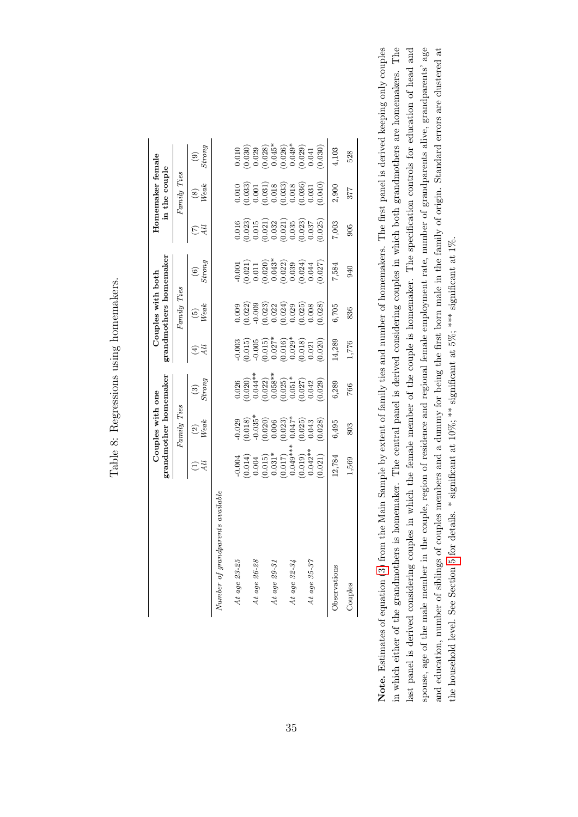|   | Ì<br>J<br>$\mathbf$<br>l<br>í<br>$\ddot{\phantom{a}}$<br>j<br>Í |
|---|-----------------------------------------------------------------|
|   | くくこく<br>)<br>l<br>١                                             |
|   | しょうしき くくりょう<br>)<br>l<br>ׇׇ֕֡<br>)                              |
| ſ |                                                                 |
|   |                                                                 |
|   | ١                                                               |

<span id="page-36-0"></span>

|                                                 |        | grandmother homemaker<br>Couples with one                                                                             |                                                                                                                                                                                                                                                                                |                                                                                                                                                                                                                                                                                                   | grandmothers homemaker<br>$\texttt{Couples}$ with $\texttt{both}$                                                                                                                                                                                                   |                                                                                                                                                                                                                                                                                                    |                                                                                                                                                                                                                                                                       | Homemaker female<br>in the couple                                                                                                                                                                                                                                 |                                                                                                                                                                                                                                                                                                                                   |
|-------------------------------------------------|--------|-----------------------------------------------------------------------------------------------------------------------|--------------------------------------------------------------------------------------------------------------------------------------------------------------------------------------------------------------------------------------------------------------------------------|---------------------------------------------------------------------------------------------------------------------------------------------------------------------------------------------------------------------------------------------------------------------------------------------------|---------------------------------------------------------------------------------------------------------------------------------------------------------------------------------------------------------------------------------------------------------------------|----------------------------------------------------------------------------------------------------------------------------------------------------------------------------------------------------------------------------------------------------------------------------------------------------|-----------------------------------------------------------------------------------------------------------------------------------------------------------------------------------------------------------------------------------------------------------------------|-------------------------------------------------------------------------------------------------------------------------------------------------------------------------------------------------------------------------------------------------------------------|-----------------------------------------------------------------------------------------------------------------------------------------------------------------------------------------------------------------------------------------------------------------------------------------------------------------------------------|
|                                                 |        | $\emph{Family{} Ties}$                                                                                                |                                                                                                                                                                                                                                                                                |                                                                                                                                                                                                                                                                                                   | $Family\ Ties$                                                                                                                                                                                                                                                      |                                                                                                                                                                                                                                                                                                    |                                                                                                                                                                                                                                                                       | $Famy\; Ties$                                                                                                                                                                                                                                                     |                                                                                                                                                                                                                                                                                                                                   |
|                                                 |        | $\frac{2}{\text{Weak}}$                                                                                               | $\begin{array}{c} (3) \ 3 \hbox{trong} \end{array}$                                                                                                                                                                                                                            | 4                                                                                                                                                                                                                                                                                                 | $\begin{array}{c} (5) \\ Weak \end{array}$                                                                                                                                                                                                                          | $\frac{(6)}{Strong}$                                                                                                                                                                                                                                                                               | $\mathcal{A}$                                                                                                                                                                                                                                                         | $\sum_{\textit{Weak}}$                                                                                                                                                                                                                                            | $\begin{array}{c} 6 \ (6) \end{array}$                                                                                                                                                                                                                                                                                            |
| $t$ rents a $vailable$<br>$Number\ of\ grandpe$ |        |                                                                                                                       |                                                                                                                                                                                                                                                                                |                                                                                                                                                                                                                                                                                                   |                                                                                                                                                                                                                                                                     |                                                                                                                                                                                                                                                                                                    |                                                                                                                                                                                                                                                                       |                                                                                                                                                                                                                                                                   |                                                                                                                                                                                                                                                                                                                                   |
| At age $23-25$                                  |        |                                                                                                                       |                                                                                                                                                                                                                                                                                |                                                                                                                                                                                                                                                                                                   |                                                                                                                                                                                                                                                                     |                                                                                                                                                                                                                                                                                                    |                                                                                                                                                                                                                                                                       |                                                                                                                                                                                                                                                                   |                                                                                                                                                                                                                                                                                                                                   |
|                                                 |        | $\begin{array}{l} 0.029 \\ -0.018) \\ -0.035^* \\ -0.035^* \\ -0.035^* \\ -0.006 \\ -0.0043 \\ -0.043 \\ \end{array}$ | $\begin{smallmatrix} 0.026\\ 0.020)\\ 0.04^{**}\\ 0.021\\ 0.038^{**}\\ 0.058^{**}\\ 0.0501\\ 0.01020\\ 0.0103\\ 0.021\\ 0.03020\\ 0.0042\\ 0.0000\\ 0.0000\\ 0.0000\\ 0.0000\\ 0.0000\\ 0.0000\\ 0.0000\\ 0.0000\\ 0.0000\\ 0.0000\\ 0.0000\\ 0.0000\\ 0.0000\\ 0.0000\\ 0.00$ |                                                                                                                                                                                                                                                                                                   | $\begin{array}{l} 0.0000\\ 0.0200\\ 0.0000\\ 0.0000\\ 0.0000\\ 0.0000\\ 0.0000\\ 0.0000\\ 0.0000\\ 0.0000\\ 0.0000\\ 0.0000\\ 0.0000\\ 0.000\\ 0.000\\ 0.000\\ 0.000\\ 0.000\\ 0.000\\ 0.000\\ 0.000\\ 0.000\\ 0.000\\ 0.000\\ 0.000\\ 0.000\\ 0.000\\ 0.000\\ 0.0$ | $\begin{array}{l} 0.001\\ -0.021)\\ 0.011\\ -0.020\\ -0.043\\ -0.003\\ -0.003\\ -0.003\\ -0.004\\ -0.003\\ -0.004\\ -0.007\\ -0.007\\ -0.007\\ -0.007\\ -0.007\\ -0.007\\ -0.007\\ -0.007\\ -0.007\\ -0.007\\ -0.007\\ -0.007\\ -0.007\\ -0.007\\ -0.007\\ -0.007\\ -0.007\\ -0.007\\ -0.007\\ -0$ |                                                                                                                                                                                                                                                                       |                                                                                                                                                                                                                                                                   | $\begin{smallmatrix} & 0 & 1 & 0 & 0 \\ 0 & 0 & 3 & 0 \\ 0 & 0 & 2 & 3 \\ 0 & 0 & 0 & 4 & 5 \\ 0 & 0 & 0 & 4 & 3 \\ 0 & 0 & 0 & 0 & 0 \\ 0 & 0 & 0 & 0 & 0 \\ 0 & 0 & 0 & 0 & 0 \\ 0 & 0 & 0 & 0 & 0 \\ 0 & 0 & 0 & 0 & 0 \\ 0 & 0 & 0 & 0 & 0 \\ 0 & 0 & 0 & 0 & 0 \\ 0 & 0 & 0 & 0 & 0 \\ 0 & 0 & 0 & 0 & 0 \\ 0 & 0 & 0 & 0 &$ |
| At age 26-28                                    |        |                                                                                                                       |                                                                                                                                                                                                                                                                                |                                                                                                                                                                                                                                                                                                   |                                                                                                                                                                                                                                                                     |                                                                                                                                                                                                                                                                                                    |                                                                                                                                                                                                                                                                       |                                                                                                                                                                                                                                                                   |                                                                                                                                                                                                                                                                                                                                   |
|                                                 |        |                                                                                                                       |                                                                                                                                                                                                                                                                                |                                                                                                                                                                                                                                                                                                   |                                                                                                                                                                                                                                                                     |                                                                                                                                                                                                                                                                                                    |                                                                                                                                                                                                                                                                       |                                                                                                                                                                                                                                                                   |                                                                                                                                                                                                                                                                                                                                   |
| At age 29-31                                    |        |                                                                                                                       |                                                                                                                                                                                                                                                                                |                                                                                                                                                                                                                                                                                                   |                                                                                                                                                                                                                                                                     |                                                                                                                                                                                                                                                                                                    |                                                                                                                                                                                                                                                                       |                                                                                                                                                                                                                                                                   |                                                                                                                                                                                                                                                                                                                                   |
|                                                 |        |                                                                                                                       |                                                                                                                                                                                                                                                                                |                                                                                                                                                                                                                                                                                                   |                                                                                                                                                                                                                                                                     |                                                                                                                                                                                                                                                                                                    |                                                                                                                                                                                                                                                                       |                                                                                                                                                                                                                                                                   |                                                                                                                                                                                                                                                                                                                                   |
| At age 32-34                                    |        |                                                                                                                       |                                                                                                                                                                                                                                                                                |                                                                                                                                                                                                                                                                                                   |                                                                                                                                                                                                                                                                     |                                                                                                                                                                                                                                                                                                    |                                                                                                                                                                                                                                                                       |                                                                                                                                                                                                                                                                   |                                                                                                                                                                                                                                                                                                                                   |
|                                                 |        |                                                                                                                       |                                                                                                                                                                                                                                                                                |                                                                                                                                                                                                                                                                                                   |                                                                                                                                                                                                                                                                     |                                                                                                                                                                                                                                                                                                    |                                                                                                                                                                                                                                                                       |                                                                                                                                                                                                                                                                   |                                                                                                                                                                                                                                                                                                                                   |
| At age 35-37                                    |        |                                                                                                                       |                                                                                                                                                                                                                                                                                |                                                                                                                                                                                                                                                                                                   |                                                                                                                                                                                                                                                                     |                                                                                                                                                                                                                                                                                                    |                                                                                                                                                                                                                                                                       |                                                                                                                                                                                                                                                                   |                                                                                                                                                                                                                                                                                                                                   |
|                                                 |        | (0.028)                                                                                                               |                                                                                                                                                                                                                                                                                | $\begin{array}{l} 0.003 \\ 0.015) \\ 0.015) \\ 0.015) \\ 0.0101 \\ 0.0101 \\ 0.0101 \\ 0.0101 \\ 0.0101 \\ 0.0101 \\ 0.021 \\ 0.021 \\ 0.000 \\ 0.000 \\ 0.000 \\ 0.000 \\ 0.000 \\ 0.000 \\ 0.000 \\ 0.000 \\ 0.000 \\ 0.000 \\ 0.000 \\ 0.000 \\ 0.000 \\ 0.000 \\ 0.000 \\ 0.000 \\ 0.000 \\ $ |                                                                                                                                                                                                                                                                     |                                                                                                                                                                                                                                                                                                    | $\begin{array}{l} 0.016\\ 0.023)\\ 0.015\\ 0.032\\ 0.032\\ 0.032\\ 0.033\\ 0.035\\ 0.035\\ 0.037\\ 0.037\\ 0.037\\ 0.037\\ 0.037\\ 0.037\\ 0.037\\ 0.037\\ 0.037\\ 0.037\\ 0.037\\ 0.037\\ 0.037\\ 0.037\\ 0.037\\ 0.037\\ 0.037\\ 0.037\\ 0.037\\ 0.037\\ 0.037\\ 0$ | $\begin{array}{l} 0.010\\ 0.033)\\ 0.0011\\ 0.0101\\ 0.0183)\\ 0.0103\\ 0.0000\\ 0.0000\\ 0.0000\\ 0.0000\\ 0.0000\\ 0.0000\\ 0.0000\\ 0.0000\\ 0.0000\\ 0.0000\\ 0.0000\\ 0.0000\\ 0.0000\\ 0.0000\\ 0.0000\\ 0.0000\\ 0.0000\\ 0.0000\\ 0.0000\\ 0.0000\\ 0.00$ |                                                                                                                                                                                                                                                                                                                                   |
| Observations                                    | 12,784 | 6,495                                                                                                                 | 6,289                                                                                                                                                                                                                                                                          | 14,289                                                                                                                                                                                                                                                                                            | 6,705                                                                                                                                                                                                                                                               | 7,584                                                                                                                                                                                                                                                                                              | 7,003                                                                                                                                                                                                                                                                 | 2,900                                                                                                                                                                                                                                                             | 4,103                                                                                                                                                                                                                                                                                                                             |
| Couples                                         | 1,569  | 803                                                                                                                   | 766                                                                                                                                                                                                                                                                            | 1,776                                                                                                                                                                                                                                                                                             | 836                                                                                                                                                                                                                                                                 | 940                                                                                                                                                                                                                                                                                                | 905                                                                                                                                                                                                                                                                   | 377                                                                                                                                                                                                                                                               | 528                                                                                                                                                                                                                                                                                                                               |

Note. Estimates of equation (3) from the Main Sample by extent of family ties and number of homemakers. The first panel is derived keeping only couples in which either of the grandmothers is homemaker. The central panel is derived considering couples in which both grandmothers are homemakers. The last panel is derived considering couples in which the female member of the couple is homemaker. The specification controls for education of head and spouse, age of the male member in the couple, region of residence and regional female employment rate, number of grandparents alive, grandparents' age and education, number of siblings of couples members and a dummy for being the first born male in the family of origin. Standard errors are clustered at Note. Estimates of equation [\(3\)](#page-16-0) from the Main Sample by extent of family ties and number of homemakers. The first panel is derived keeping only couples in which either of the grandmothers is homemaker. The central panel is derived considering couples in which both grandmothers are homemakers. The last panel is derived considering couples in which the female member of the couple is homemaker. The specification controls for education of head and spouse, age of the male member in the couple, region of residence and regional female employment rate, number of grandparents alive, grandparents' age and education, number of siblings of couples members and a dummy for being the first born male in the family of origin. Standard errors are clustered at the household level. See Section 5 for details. \* significant at  $10\%$ ; \*\* significant at  $5\%$ ; \*\*\* significant at  $1\%$ . the household level. See Section [5](#page-20-0) for details. \* significant at 10%; \*\* significant at 5%; \*\*\* significant at 1%.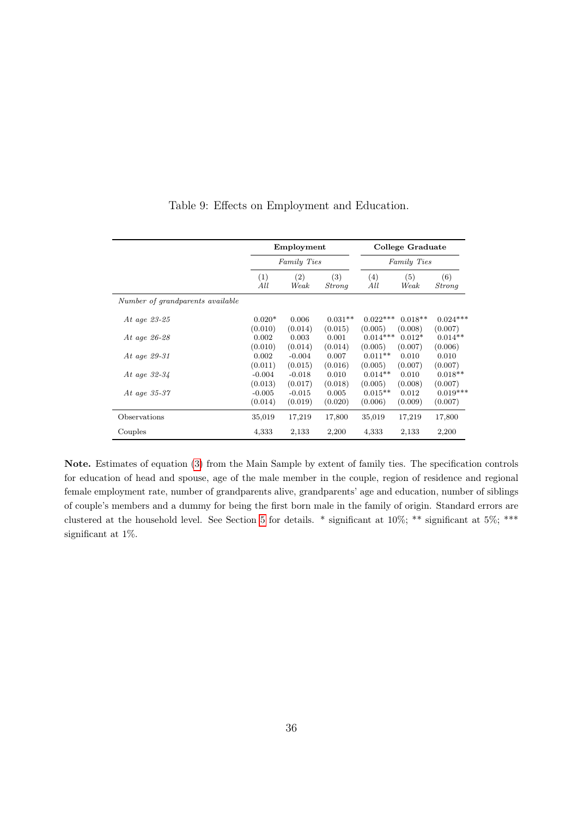<span id="page-37-0"></span>

|                                  |                     | Employment          |                  |                       | College Graduate    |                       |
|----------------------------------|---------------------|---------------------|------------------|-----------------------|---------------------|-----------------------|
|                                  |                     | Family Ties         |                  |                       | Family Ties         |                       |
|                                  | (1)<br>All          | (2)<br>Weak         | (3)<br>Strong    | (4)<br>All            | (5)<br>Weak         | (6)<br>Strong         |
| Number of grandparents available |                     |                     |                  |                       |                     |                       |
| At age 23-25                     | $0.020*$            | 0.006               | $0.031**$        | $0.022***$            | $0.018**$           | $0.024***$            |
| At age 26-28                     | (0.010)<br>0.002    | (0.014)<br>0.003    | (0.015)<br>0.001 | (0.005)<br>$0.014***$ | (0.008)<br>$0.012*$ | (0.007)<br>$0.014**$  |
| At age 29-31                     | (0.010)<br>0.002    | (0.014)<br>$-0.004$ | (0.014)<br>0.007 | (0.005)<br>$0.011**$  | (0.007)<br>0.010    | (0.006)<br>0.010      |
| At age $32-34$                   | (0.011)<br>$-0.004$ | (0.015)<br>$-0.018$ | (0.016)<br>0.010 | (0.005)<br>$0.014**$  | (0.007)<br>0.010    | (0.007)<br>$0.018**$  |
| At age 35-37                     | (0.013)<br>$-0.005$ | (0.017)<br>$-0.015$ | (0.018)<br>0.005 | (0.005)<br>$0.015**$  | (0.008)<br>0.012    | (0.007)<br>$0.019***$ |
|                                  | (0.014)             | (0.019)             | (0.020)          | (0.006)               | (0.009)             | (0.007)               |
| Observations                     | 35,019              | 17,219              | 17,800           | 35,019                | 17,219              | 17,800                |
| Couples                          | 4,333               | 2,133               | 2,200            | 4,333                 | 2,133               | 2,200                 |

Table 9: Effects on Employment and Education.

Note. Estimates of equation [\(3\)](#page-16-0) from the Main Sample by extent of family ties. The specification controls for education of head and spouse, age of the male member in the couple, region of residence and regional female employment rate, number of grandparents alive, grandparents' age and education, number of siblings of couple's members and a dummy for being the first born male in the family of origin. Standard errors are clustered at the household level. See Section [5](#page-20-0) for details. \* significant at 10%; \*\* significant at 5%; \*\*\* significant at 1%.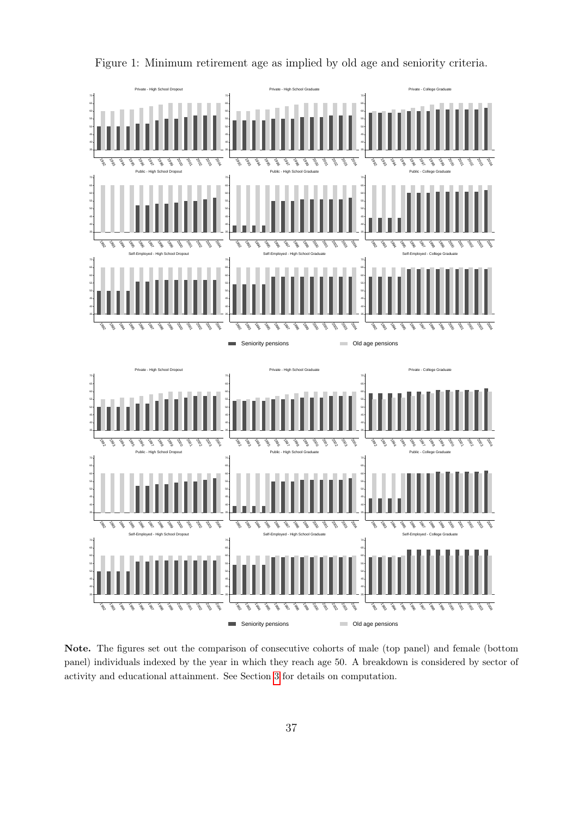<span id="page-38-0"></span>

Figure 1: Minimum retirement age as implied by old age and seniority criteria.

Note. The figures set out the comparison of consecutive cohorts of male (top panel) and female (bottom panel) individuals indexed by the year in which they reach age 50. A breakdown is considered by sector of activity and educational attainment. See Section [3](#page-12-0) for details on computation.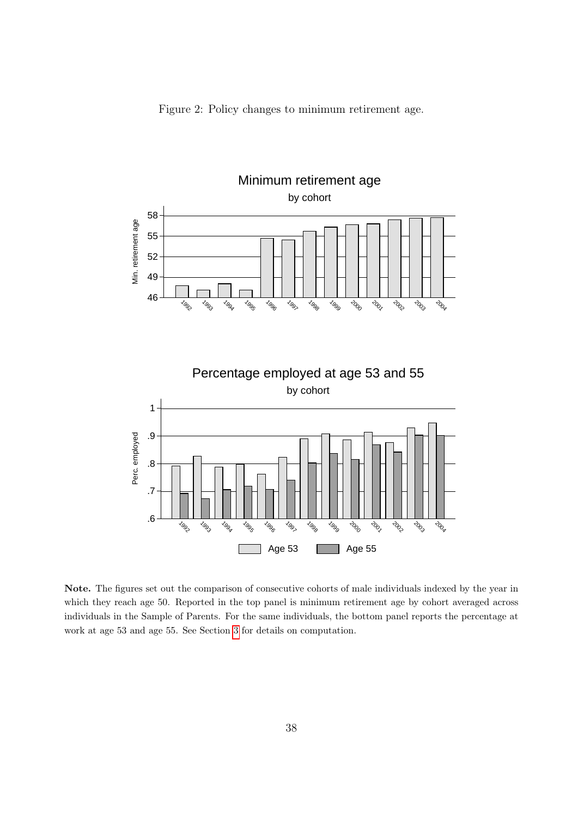<span id="page-39-0"></span>



Note. The figures set out the comparison of consecutive cohorts of male individuals indexed by the year in which they reach age 50. Reported in the top panel is minimum retirement age by cohort averaged across individuals in the Sample of Parents. For the same individuals, the bottom panel reports the percentage at work at age 53 and age 55. See Section [3](#page-12-0) for details on computation.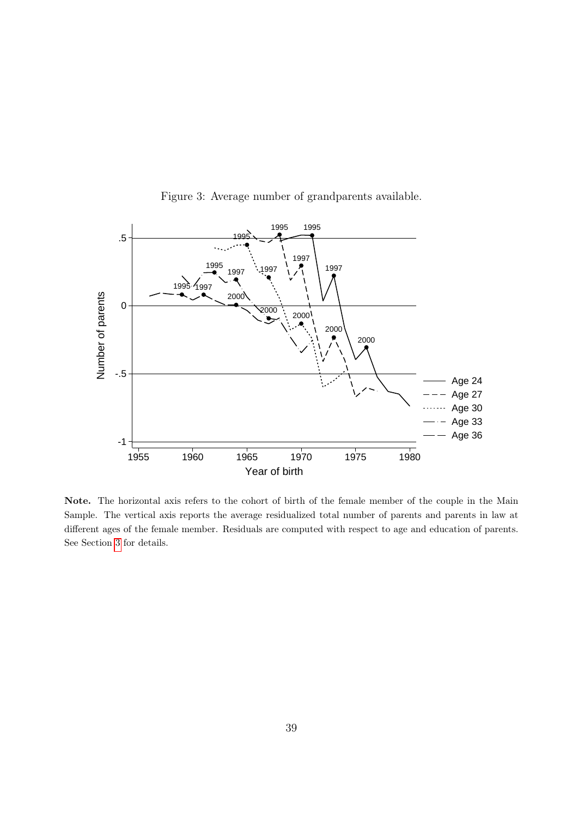<span id="page-40-0"></span>

Figure 3: Average number of grandparents available.

Note. The horizontal axis refers to the cohort of birth of the female member of the couple in the Main Sample. The vertical axis reports the average residualized total number of parents and parents in law at different ages of the female member. Residuals are computed with respect to age and education of parents. See Section [3](#page-12-0) for details.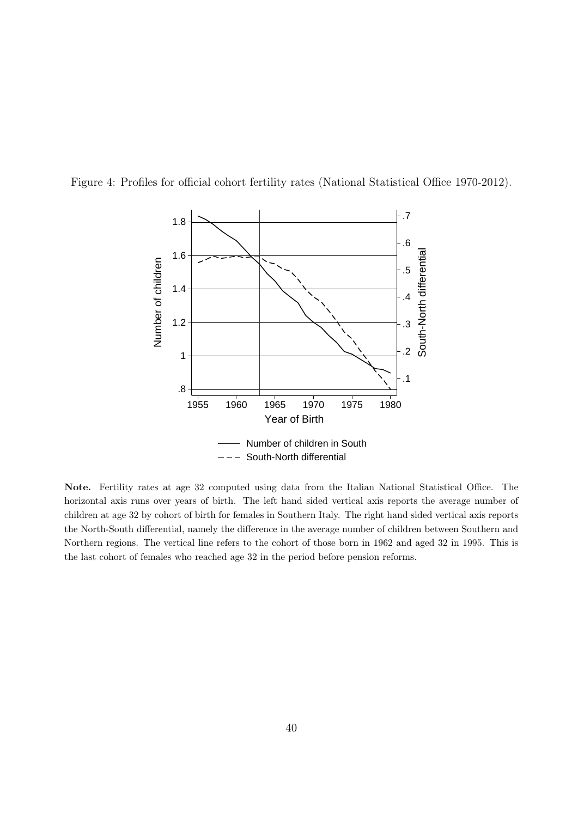<span id="page-41-0"></span>



Note. Fertility rates at age 32 computed using data from the Italian National Statistical Office. The horizontal axis runs over years of birth. The left hand sided vertical axis reports the average number of children at age 32 by cohort of birth for females in Southern Italy. The right hand sided vertical axis reports the North-South differential, namely the difference in the average number of children between Southern and Northern regions. The vertical line refers to the cohort of those born in 1962 and aged 32 in 1995. This is the last cohort of females who reached age 32 in the period before pension reforms.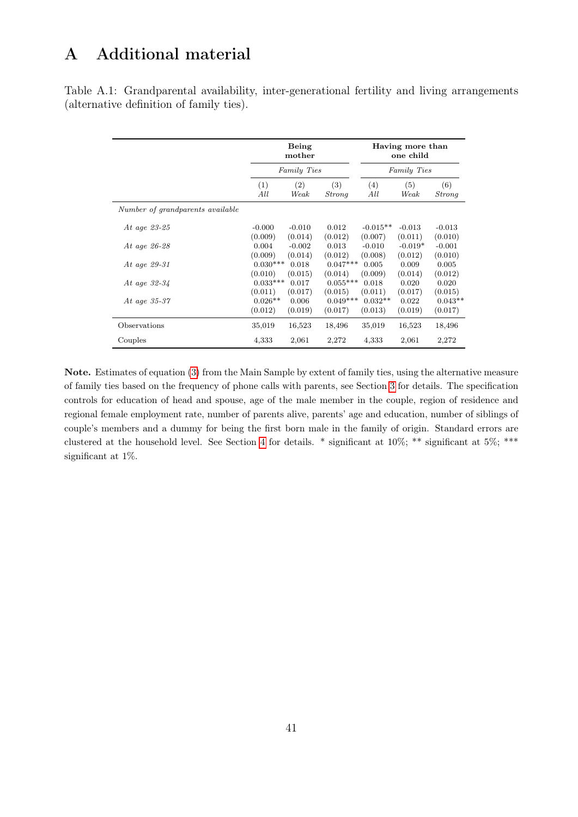## <span id="page-42-1"></span>A Additional material

<span id="page-42-0"></span>Table A.1: Grandparental availability, inter-generational fertility and living arrangements (alternative definition of family ties).

|                                  |            | Being<br>mother |            |            | Having more than<br>one child |               |
|----------------------------------|------------|-----------------|------------|------------|-------------------------------|---------------|
|                                  |            | Family Ties     |            |            | Family Ties                   |               |
|                                  | (1)        | (2)             | (3)        | (4)        | (5)                           | (6)           |
|                                  | All        | Weak            | Strong     | All        | Weak                          | <b>Strong</b> |
| Number of grandparents available |            |                 |            |            |                               |               |
| At age 23-25                     | $-0.000$   | $-0.010$        | 0.012      | $-0.015**$ | $-0.013$                      | $-0.013$      |
|                                  | (0.009)    | (0.014)         | (0.012)    | (0.007)    | (0.011)                       | (0.010)       |
| At age 26-28                     | 0.004      | $-0.002$        | 0.013      | $-0.010$   | $-0.019*$                     | $-0.001$      |
|                                  | (0.009)    | (0.014)         | (0.012)    | (0.008)    | (0.012)                       | (0.010)       |
| At age 29-31                     | $0.030***$ | 0.018           | $0.047***$ | 0.005      | 0.009                         | 0.005         |
|                                  | (0.010)    | (0.015)         | (0.014)    | (0.009)    | (0.014)                       | (0.012)       |
| At age $32-34$                   | $0.033***$ | 0.017           | $0.055***$ | 0.018      | 0.020                         | 0.020         |
|                                  | (0.011)    | (0.017)         | (0.015)    | (0.011)    | (0.017)                       | (0.015)       |
| At age 35-37                     | $0.026**$  | 0.006           | $0.049***$ | $0.032**$  | 0.022                         | $0.043**$     |
|                                  | (0.012)    | (0.019)         | (0.017)    | (0.013)    | (0.019)                       | (0.017)       |
| Observations                     | 35,019     | 16,523          | 18,496     | 35,019     | 16,523                        | 18,496        |
| Couples                          | 4,333      | 2,061           | 2,272      | 4,333      | 2,061                         | 2,272         |

Note. Estimates of equation [\(3\)](#page-16-0) from the Main Sample by extent of family ties, using the alternative measure of family ties based on the frequency of phone calls with parents, see Section [3](#page-12-0) for details. The specification controls for education of head and spouse, age of the male member in the couple, region of residence and regional female employment rate, number of parents alive, parents' age and education, number of siblings of couple's members and a dummy for being the first born male in the family of origin. Standard errors are clustered at the household level. See Section [4](#page-15-0) for details. \* significant at 10%; \*\* significant at 5%; \*\*\* significant at 1%.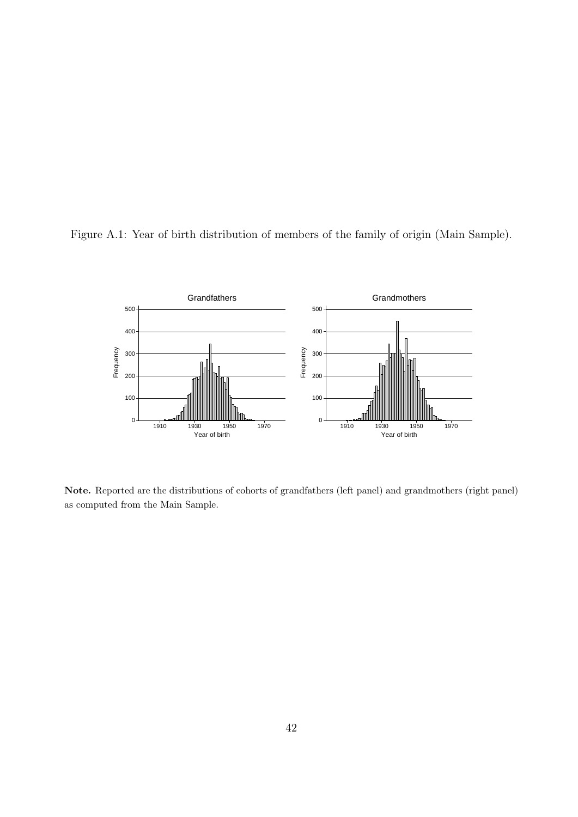<span id="page-43-0"></span>



Note. Reported are the distributions of cohorts of grandfathers (left panel) and grandmothers (right panel) as computed from the Main Sample.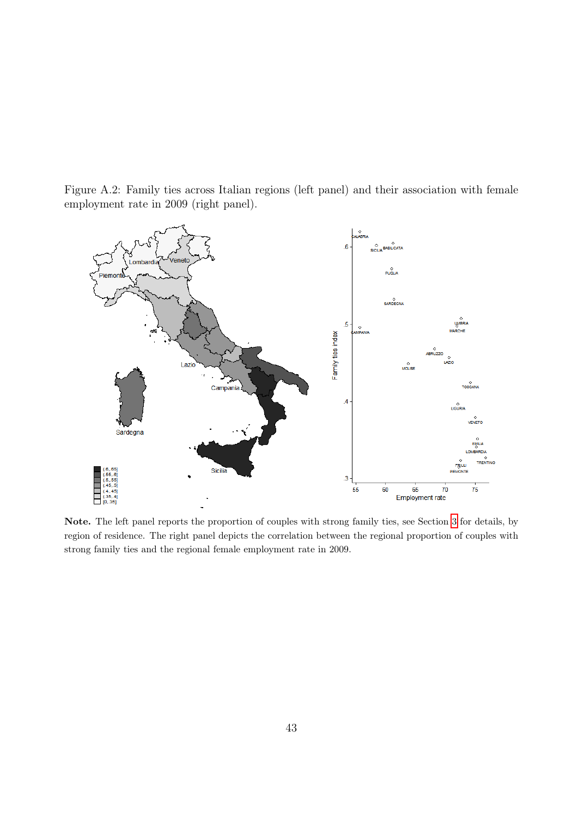<span id="page-44-0"></span>Figure A.2: Family ties across Italian regions (left panel) and their association with female employment rate in 2009 (right panel).



Note. The left panel reports the proportion of couples with strong family ties, see Section [3](#page-12-0) for details, by region of residence. The right panel depicts the correlation between the regional proportion of couples with strong family ties and the regional female employment rate in 2009.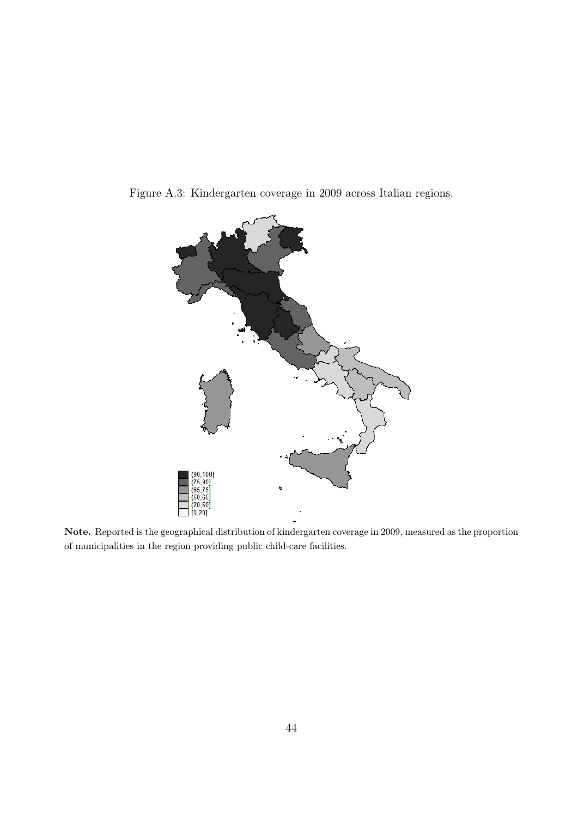<span id="page-45-0"></span>Figure A.3: Kindergarten coverage in 2009 across Italian regions.



Note. Reported is the geographical distribution of kindergarten coverage in 2009, measured as the proportion of municipalities in the region providing public child-care facilities.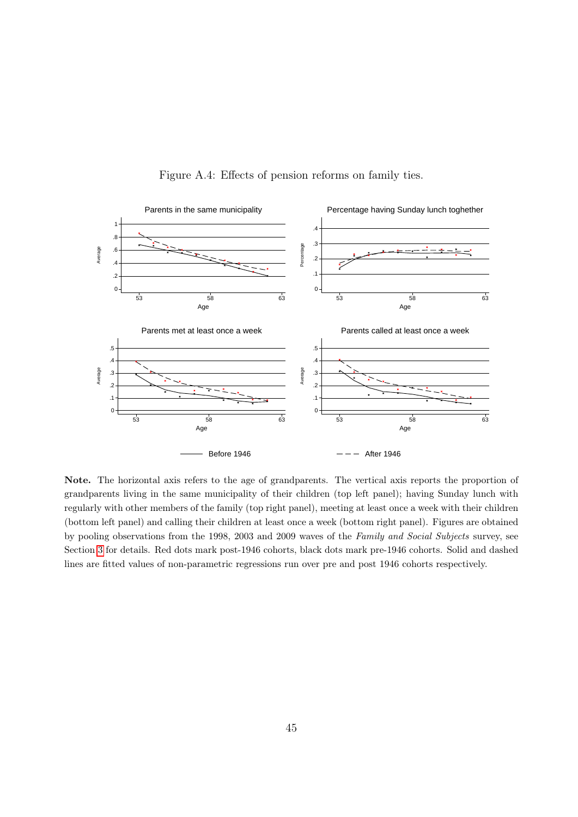<span id="page-46-0"></span>

Figure A.4: Effects of pension reforms on family ties.

Note. The horizontal axis refers to the age of grandparents. The vertical axis reports the proportion of grandparents living in the same municipality of their children (top left panel); having Sunday lunch with regularly with other members of the family (top right panel), meeting at least once a week with their children (bottom left panel) and calling their children at least once a week (bottom right panel). Figures are obtained by pooling observations from the 1998, 2003 and 2009 waves of the Family and Social Subjects survey, see Section [3](#page-12-0) for details. Red dots mark post-1946 cohorts, black dots mark pre-1946 cohorts. Solid and dashed lines are fitted values of non-parametric regressions run over pre and post 1946 cohorts respectively.